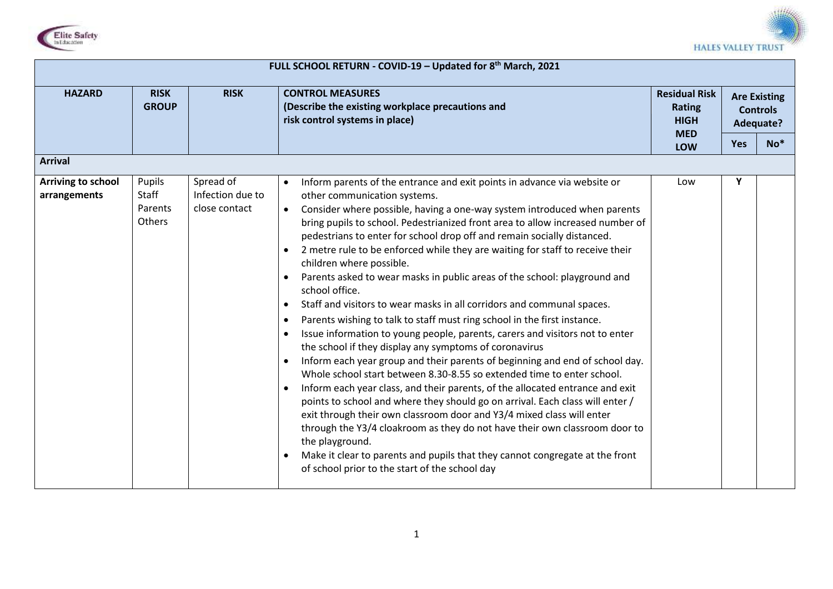



## **HAZARD RISK GROUP RISK CONTROL MEASURES (Describe the existing workplace precautions and risk control systems in place) Residual Risk Rating HIGH MED LOW Are Existing Controls Adequate? Yes No\* Arrival Arriving to school arrangements** Pupils **Staff** Parents **Others** Spread of Infection due to close contact Inform parents of the entrance and exit points in advance via website or other communication systems. Consider where possible, having a one-way system introduced when parents bring pupils to school. Pedestrianized front area to allow increased number of pedestrians to enter for school drop off and remain socially distanced. 2 metre rule to be enforced while they are waiting for staff to receive their children where possible. Parents asked to wear masks in public areas of the school: playground and school office. Staff and visitors to wear masks in all corridors and communal spaces. Parents wishing to talk to staff must ring school in the first instance. Issue information to young people, parents, carers and visitors not to enter the school if they display any symptoms of coronavirus • Inform each year group and their parents of beginning and end of school day. Whole school start between 8.30-8.55 so extended time to enter school. • Inform each year class, and their parents, of the allocated entrance and exit points to school and where they should go on arrival. Each class will enter / exit through their own classroom door and Y3/4 mixed class will enter through the Y3/4 cloakroom as they do not have their own classroom door to the playground. Make it clear to parents and pupils that they cannot congregate at the front of school prior to the start of the school day Low **Y**

**FULL SCHOOL RETURN - COVID-19 – Updated for 8th March, 2021**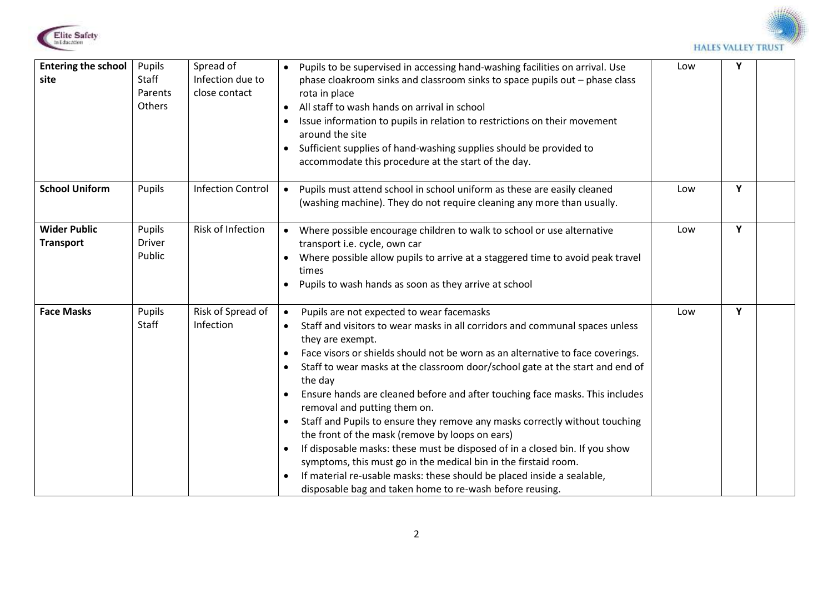



| <b>Entering the school</b><br>site      | Pupils<br>Staff<br>Parents<br>Others | Spread of<br>Infection due to<br>close contact | Pupils to be supervised in accessing hand-washing facilities on arrival. Use<br>$\bullet$<br>phase cloakroom sinks and classroom sinks to space pupils out - phase class<br>rota in place<br>All staff to wash hands on arrival in school<br>$\bullet$<br>Issue information to pupils in relation to restrictions on their movement<br>$\bullet$<br>around the site<br>Sufficient supplies of hand-washing supplies should be provided to<br>$\bullet$<br>accommodate this procedure at the start of the day.                                                                                                                                                                                                                                                                                                                                                                                                                                                    | Low | Y |  |
|-----------------------------------------|--------------------------------------|------------------------------------------------|------------------------------------------------------------------------------------------------------------------------------------------------------------------------------------------------------------------------------------------------------------------------------------------------------------------------------------------------------------------------------------------------------------------------------------------------------------------------------------------------------------------------------------------------------------------------------------------------------------------------------------------------------------------------------------------------------------------------------------------------------------------------------------------------------------------------------------------------------------------------------------------------------------------------------------------------------------------|-----|---|--|
| <b>School Uniform</b>                   | Pupils                               | <b>Infection Control</b>                       | Pupils must attend school in school uniform as these are easily cleaned<br>$\bullet$<br>(washing machine). They do not require cleaning any more than usually.                                                                                                                                                                                                                                                                                                                                                                                                                                                                                                                                                                                                                                                                                                                                                                                                   | Low | Y |  |
| <b>Wider Public</b><br><b>Transport</b> | Pupils<br><b>Driver</b><br>Public    | Risk of Infection                              | Where possible encourage children to walk to school or use alternative<br>$\bullet$<br>transport i.e. cycle, own car<br>Where possible allow pupils to arrive at a staggered time to avoid peak travel<br>times<br>Pupils to wash hands as soon as they arrive at school<br>$\bullet$                                                                                                                                                                                                                                                                                                                                                                                                                                                                                                                                                                                                                                                                            | Low | Y |  |
| <b>Face Masks</b>                       | Pupils<br>Staff                      | Risk of Spread of<br>Infection                 | Pupils are not expected to wear facemasks<br>$\bullet$<br>Staff and visitors to wear masks in all corridors and communal spaces unless<br>$\bullet$<br>they are exempt.<br>Face visors or shields should not be worn as an alternative to face coverings.<br>$\bullet$<br>Staff to wear masks at the classroom door/school gate at the start and end of<br>$\bullet$<br>the day<br>Ensure hands are cleaned before and after touching face masks. This includes<br>$\bullet$<br>removal and putting them on.<br>Staff and Pupils to ensure they remove any masks correctly without touching<br>the front of the mask (remove by loops on ears)<br>If disposable masks: these must be disposed of in a closed bin. If you show<br>$\bullet$<br>symptoms, this must go in the medical bin in the firstaid room.<br>If material re-usable masks: these should be placed inside a sealable,<br>$\bullet$<br>disposable bag and taken home to re-wash before reusing. | Low | Y |  |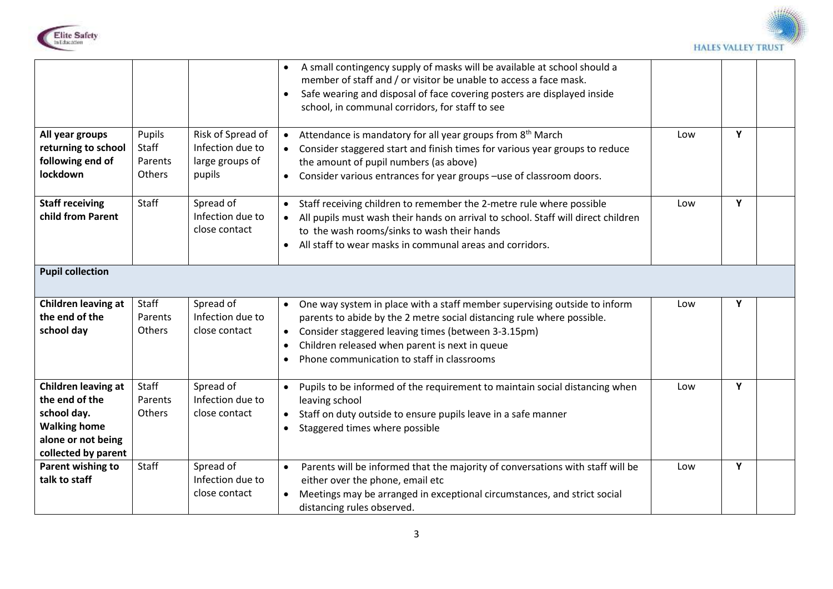



|                                                                                                                          |                                      |                                                                    | A small contingency supply of masks will be available at school should a<br>$\bullet$<br>member of staff and / or visitor be unable to access a face mask.<br>Safe wearing and disposal of face covering posters are displayed inside<br>$\bullet$<br>school, in communal corridors, for staff to see                                                          |     |   |  |
|--------------------------------------------------------------------------------------------------------------------------|--------------------------------------|--------------------------------------------------------------------|----------------------------------------------------------------------------------------------------------------------------------------------------------------------------------------------------------------------------------------------------------------------------------------------------------------------------------------------------------------|-----|---|--|
| All year groups<br>returning to school<br>following end of<br>lockdown                                                   | Pupils<br>Staff<br>Parents<br>Others | Risk of Spread of<br>Infection due to<br>large groups of<br>pupils | Attendance is mandatory for all year groups from 8 <sup>th</sup> March<br>$\bullet$<br>Consider staggered start and finish times for various year groups to reduce<br>$\bullet$<br>the amount of pupil numbers (as above)<br>Consider various entrances for year groups -use of classroom doors.<br>$\bullet$                                                  | Low | Y |  |
| <b>Staff receiving</b><br>child from Parent                                                                              | Staff                                | Spread of<br>Infection due to<br>close contact                     | Staff receiving children to remember the 2-metre rule where possible<br>$\bullet$<br>All pupils must wash their hands on arrival to school. Staff will direct children<br>to the wash rooms/sinks to wash their hands<br>All staff to wear masks in communal areas and corridors.<br>$\bullet$                                                                 | Low | Y |  |
| <b>Pupil collection</b>                                                                                                  |                                      |                                                                    |                                                                                                                                                                                                                                                                                                                                                                |     |   |  |
| Children leaving at<br>the end of the<br>school day                                                                      | Staff<br>Parents<br>Others           | Spread of<br>Infection due to<br>close contact                     | One way system in place with a staff member supervising outside to inform<br>$\bullet$<br>parents to abide by the 2 metre social distancing rule where possible.<br>Consider staggered leaving times (between 3-3.15pm)<br>$\bullet$<br>Children released when parent is next in queue<br>$\bullet$<br>Phone communication to staff in classrooms<br>$\bullet$ | Low | Υ |  |
| Children leaving at<br>the end of the<br>school day.<br><b>Walking home</b><br>alone or not being<br>collected by parent | Staff<br>Parents<br>Others           | Spread of<br>Infection due to<br>close contact                     | Pupils to be informed of the requirement to maintain social distancing when<br>$\bullet$<br>leaving school<br>Staff on duty outside to ensure pupils leave in a safe manner<br>$\bullet$<br>Staggered times where possible<br>$\bullet$                                                                                                                        | Low | Υ |  |
| Parent wishing to<br>talk to staff                                                                                       | Staff                                | Spread of<br>Infection due to<br>close contact                     | Parents will be informed that the majority of conversations with staff will be<br>$\bullet$<br>either over the phone, email etc<br>Meetings may be arranged in exceptional circumstances, and strict social<br>$\bullet$<br>distancing rules observed.                                                                                                         | Low | Y |  |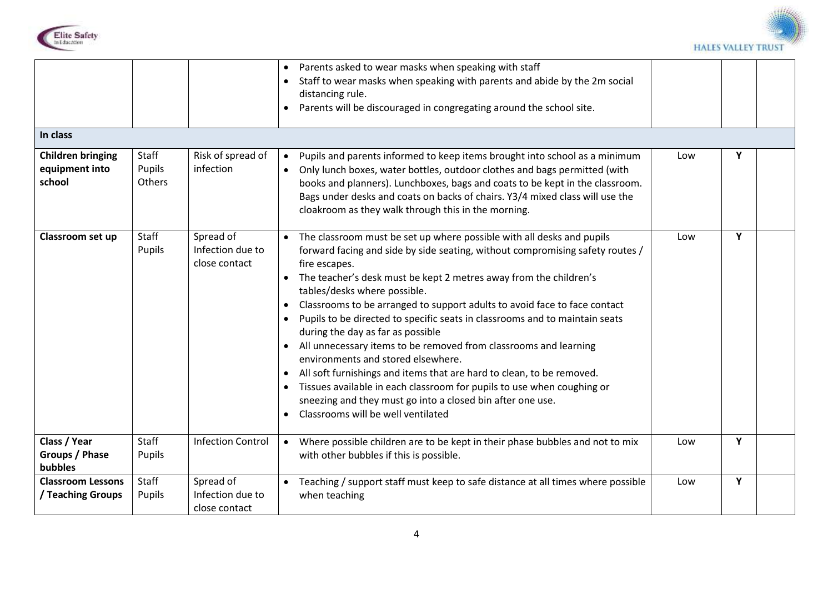



| In class<br><b>Children bringing</b>             | Staff                   | Risk of spread of                              | Parents asked to wear masks when speaking with staff<br>$\bullet$<br>Staff to wear masks when speaking with parents and abide by the 2m social<br>distancing rule.<br>Parents will be discouraged in congregating around the school site.<br>$\bullet$<br>Pupils and parents informed to keep items brought into school as a minimum<br>$\bullet$                                                                                                                                                                                                                                                                                                                                                                                                                                                                                                                                                               | Low | Υ |  |
|--------------------------------------------------|-------------------------|------------------------------------------------|-----------------------------------------------------------------------------------------------------------------------------------------------------------------------------------------------------------------------------------------------------------------------------------------------------------------------------------------------------------------------------------------------------------------------------------------------------------------------------------------------------------------------------------------------------------------------------------------------------------------------------------------------------------------------------------------------------------------------------------------------------------------------------------------------------------------------------------------------------------------------------------------------------------------|-----|---|--|
| equipment into<br>school                         | Pupils<br><b>Others</b> | infection                                      | Only lunch boxes, water bottles, outdoor clothes and bags permitted (with<br>$\bullet$<br>books and planners). Lunchboxes, bags and coats to be kept in the classroom.<br>Bags under desks and coats on backs of chairs. Y3/4 mixed class will use the<br>cloakroom as they walk through this in the morning.                                                                                                                                                                                                                                                                                                                                                                                                                                                                                                                                                                                                   |     |   |  |
| Classroom set up                                 | Staff<br>Pupils         | Spread of<br>Infection due to<br>close contact | The classroom must be set up where possible with all desks and pupils<br>$\bullet$<br>forward facing and side by side seating, without compromising safety routes /<br>fire escapes.<br>The teacher's desk must be kept 2 metres away from the children's<br>tables/desks where possible.<br>Classrooms to be arranged to support adults to avoid face to face contact<br>$\bullet$<br>Pupils to be directed to specific seats in classrooms and to maintain seats<br>$\bullet$<br>during the day as far as possible<br>All unnecessary items to be removed from classrooms and learning<br>$\bullet$<br>environments and stored elsewhere.<br>All soft furnishings and items that are hard to clean, to be removed.<br>$\bullet$<br>Tissues available in each classroom for pupils to use when coughing or<br>sneezing and they must go into a closed bin after one use.<br>Classrooms will be well ventilated | Low | Y |  |
| Class / Year<br>Groups / Phase<br><b>bubbles</b> | <b>Staff</b><br>Pupils  | <b>Infection Control</b>                       | Where possible children are to be kept in their phase bubbles and not to mix<br>$\bullet$<br>with other bubbles if this is possible.                                                                                                                                                                                                                                                                                                                                                                                                                                                                                                                                                                                                                                                                                                                                                                            | Low | Y |  |
| <b>Classroom Lessons</b><br>/ Teaching Groups    | Staff<br>Pupils         | Spread of<br>Infection due to<br>close contact | Teaching / support staff must keep to safe distance at all times where possible<br>$\bullet$<br>when teaching                                                                                                                                                                                                                                                                                                                                                                                                                                                                                                                                                                                                                                                                                                                                                                                                   | Low | Y |  |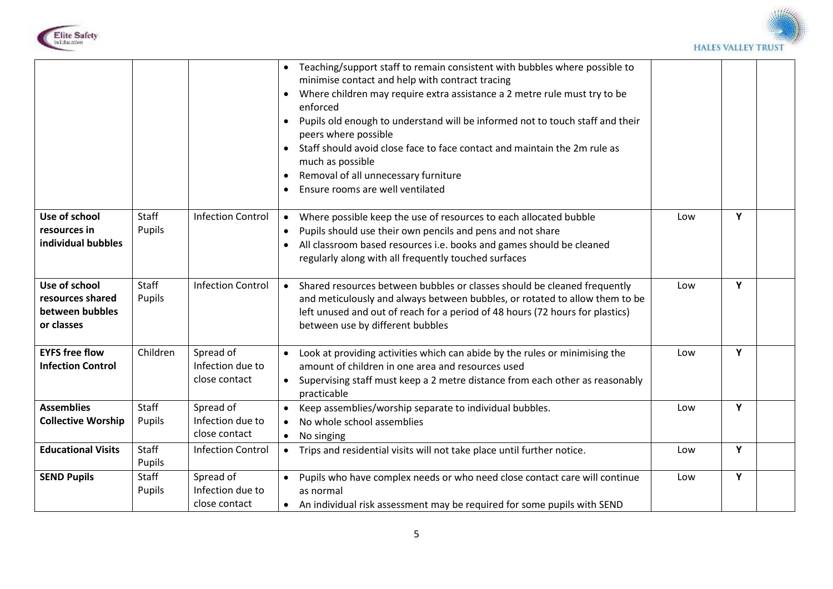



|                           |          |                          | Teaching/support staff to remain consistent with bubbles where possible to<br>minimise contact and help with contract tracing<br>Where children may require extra assistance a 2 metre rule must try to be<br>enforced<br>Pupils old enough to understand will be informed not to touch staff and their<br>$\bullet$<br>peers where possible<br>Staff should avoid close face to face contact and maintain the 2m rule as<br>much as possible<br>Removal of all unnecessary furniture<br>$\bullet$<br>Ensure rooms are well ventilated<br>$\bullet$ |     |   |  |
|---------------------------|----------|--------------------------|-----------------------------------------------------------------------------------------------------------------------------------------------------------------------------------------------------------------------------------------------------------------------------------------------------------------------------------------------------------------------------------------------------------------------------------------------------------------------------------------------------------------------------------------------------|-----|---|--|
| Use of school             | Staff    | <b>Infection Control</b> | Where possible keep the use of resources to each allocated bubble<br>$\bullet$                                                                                                                                                                                                                                                                                                                                                                                                                                                                      | Low | Y |  |
| resources in              | Pupils   |                          | Pupils should use their own pencils and pens and not share<br>$\bullet$                                                                                                                                                                                                                                                                                                                                                                                                                                                                             |     |   |  |
| individual bubbles        |          |                          | All classroom based resources i.e. books and games should be cleaned<br>$\bullet$                                                                                                                                                                                                                                                                                                                                                                                                                                                                   |     |   |  |
|                           |          |                          | regularly along with all frequently touched surfaces                                                                                                                                                                                                                                                                                                                                                                                                                                                                                                |     |   |  |
|                           |          |                          |                                                                                                                                                                                                                                                                                                                                                                                                                                                                                                                                                     |     |   |  |
| Use of school             | Staff    | <b>Infection Control</b> | Shared resources between bubbles or classes should be cleaned frequently<br>$\bullet$                                                                                                                                                                                                                                                                                                                                                                                                                                                               | Low | Y |  |
| resources shared          | Pupils   |                          | and meticulously and always between bubbles, or rotated to allow them to be                                                                                                                                                                                                                                                                                                                                                                                                                                                                         |     |   |  |
| between bubbles           |          |                          | left unused and out of reach for a period of 48 hours (72 hours for plastics)                                                                                                                                                                                                                                                                                                                                                                                                                                                                       |     |   |  |
| or classes                |          |                          | between use by different bubbles                                                                                                                                                                                                                                                                                                                                                                                                                                                                                                                    |     |   |  |
|                           |          |                          |                                                                                                                                                                                                                                                                                                                                                                                                                                                                                                                                                     |     |   |  |
| <b>EYFS free flow</b>     | Children | Spread of                | Look at providing activities which can abide by the rules or minimising the<br>$\bullet$                                                                                                                                                                                                                                                                                                                                                                                                                                                            | Low | Y |  |
| <b>Infection Control</b>  |          | Infection due to         | amount of children in one area and resources used                                                                                                                                                                                                                                                                                                                                                                                                                                                                                                   |     |   |  |
|                           |          | close contact            | Supervising staff must keep a 2 metre distance from each other as reasonably<br>$\bullet$                                                                                                                                                                                                                                                                                                                                                                                                                                                           |     |   |  |
|                           |          |                          | practicable                                                                                                                                                                                                                                                                                                                                                                                                                                                                                                                                         |     |   |  |
| <b>Assemblies</b>         | Staff    | Spread of                | Keep assemblies/worship separate to individual bubbles.<br>$\bullet$                                                                                                                                                                                                                                                                                                                                                                                                                                                                                | Low | Y |  |
| <b>Collective Worship</b> | Pupils   | Infection due to         | No whole school assemblies<br>$\bullet$                                                                                                                                                                                                                                                                                                                                                                                                                                                                                                             |     |   |  |
|                           |          | close contact            | No singing<br>$\bullet$                                                                                                                                                                                                                                                                                                                                                                                                                                                                                                                             |     |   |  |
| <b>Educational Visits</b> | Staff    | <b>Infection Control</b> | Trips and residential visits will not take place until further notice.<br>$\bullet$                                                                                                                                                                                                                                                                                                                                                                                                                                                                 | Low | Y |  |
|                           | Pupils   |                          |                                                                                                                                                                                                                                                                                                                                                                                                                                                                                                                                                     |     |   |  |
| <b>SEND Pupils</b>        | Staff    | Spread of                | Pupils who have complex needs or who need close contact care will continue<br>$\bullet$                                                                                                                                                                                                                                                                                                                                                                                                                                                             | Low | Y |  |
|                           | Pupils   | Infection due to         | as normal                                                                                                                                                                                                                                                                                                                                                                                                                                                                                                                                           |     |   |  |
|                           |          | close contact            | An individual risk assessment may be required for some pupils with SEND                                                                                                                                                                                                                                                                                                                                                                                                                                                                             |     |   |  |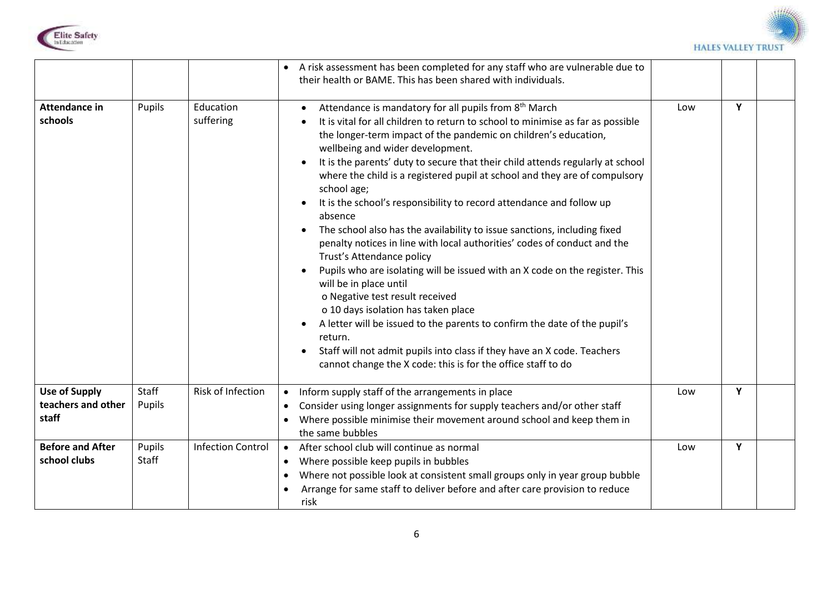



|                                                     |                 |                          | A risk assessment has been completed for any staff who are vulnerable due to<br>their health or BAME. This has been shared with individuals.                                                                                                                                                                                                                                                                                                                                                                                                                                                                                                                                                                                                                                                                                                                                                                                                                                                                                                                                                                                                           |     |   |  |
|-----------------------------------------------------|-----------------|--------------------------|--------------------------------------------------------------------------------------------------------------------------------------------------------------------------------------------------------------------------------------------------------------------------------------------------------------------------------------------------------------------------------------------------------------------------------------------------------------------------------------------------------------------------------------------------------------------------------------------------------------------------------------------------------------------------------------------------------------------------------------------------------------------------------------------------------------------------------------------------------------------------------------------------------------------------------------------------------------------------------------------------------------------------------------------------------------------------------------------------------------------------------------------------------|-----|---|--|
| <b>Attendance in</b><br>schools                     | Pupils          | Education<br>suffering   | Attendance is mandatory for all pupils from 8 <sup>th</sup> March<br>It is vital for all children to return to school to minimise as far as possible<br>the longer-term impact of the pandemic on children's education,<br>wellbeing and wider development.<br>It is the parents' duty to secure that their child attends regularly at school<br>where the child is a registered pupil at school and they are of compulsory<br>school age;<br>It is the school's responsibility to record attendance and follow up<br>absence<br>The school also has the availability to issue sanctions, including fixed<br>penalty notices in line with local authorities' codes of conduct and the<br>Trust's Attendance policy<br>Pupils who are isolating will be issued with an X code on the register. This<br>will be in place until<br>o Negative test result received<br>o 10 days isolation has taken place<br>A letter will be issued to the parents to confirm the date of the pupil's<br>return.<br>Staff will not admit pupils into class if they have an X code. Teachers<br>$\bullet$<br>cannot change the X code: this is for the office staff to do | Low | Y |  |
| <b>Use of Supply</b><br>teachers and other<br>staff | Staff<br>Pupils | Risk of Infection        | Inform supply staff of the arrangements in place<br>$\bullet$<br>Consider using longer assignments for supply teachers and/or other staff<br>$\bullet$<br>Where possible minimise their movement around school and keep them in<br>the same bubbles                                                                                                                                                                                                                                                                                                                                                                                                                                                                                                                                                                                                                                                                                                                                                                                                                                                                                                    | Low | Y |  |
| <b>Before and After</b><br>school clubs             | Pupils<br>Staff | <b>Infection Control</b> | After school club will continue as normal<br>$\bullet$<br>Where possible keep pupils in bubbles<br>$\bullet$<br>Where not possible look at consistent small groups only in year group bubble<br>$\bullet$<br>Arrange for same staff to deliver before and after care provision to reduce<br>risk                                                                                                                                                                                                                                                                                                                                                                                                                                                                                                                                                                                                                                                                                                                                                                                                                                                       | Low | Y |  |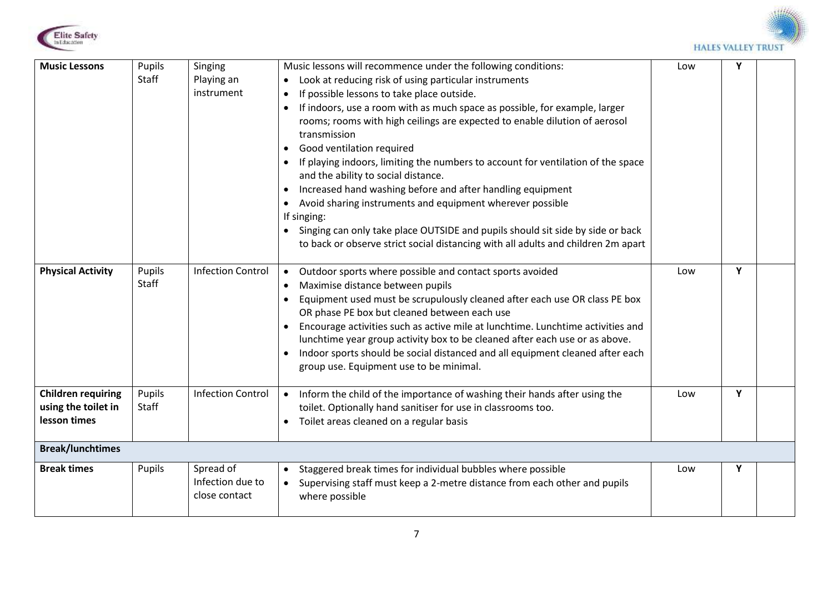



| <b>Music Lessons</b><br><b>Physical Activity</b>                 | Pupils<br>Staff<br>Pupils<br>Staff | Singing<br>Playing an<br>instrument<br><b>Infection Control</b> | Music lessons will recommence under the following conditions:<br>Look at reducing risk of using particular instruments<br>If possible lessons to take place outside.<br>$\bullet$<br>If indoors, use a room with as much space as possible, for example, larger<br>$\bullet$<br>rooms; rooms with high ceilings are expected to enable dilution of aerosol<br>transmission<br>Good ventilation required<br>$\bullet$<br>If playing indoors, limiting the numbers to account for ventilation of the space<br>$\bullet$<br>and the ability to social distance.<br>Increased hand washing before and after handling equipment<br>$\bullet$<br>Avoid sharing instruments and equipment wherever possible<br>If singing:<br>Singing can only take place OUTSIDE and pupils should sit side by side or back<br>to back or observe strict social distancing with all adults and children 2m apart<br>Outdoor sports where possible and contact sports avoided<br>$\bullet$<br>Maximise distance between pupils<br>$\bullet$<br>Equipment used must be scrupulously cleaned after each use OR class PE box<br>$\bullet$<br>OR phase PE box but cleaned between each use<br>Encourage activities such as active mile at lunchtime. Lunchtime activities and<br>lunchtime year group activity box to be cleaned after each use or as above.<br>Indoor sports should be social distanced and all equipment cleaned after each | Low<br>Low | Y<br>Y |  |
|------------------------------------------------------------------|------------------------------------|-----------------------------------------------------------------|--------------------------------------------------------------------------------------------------------------------------------------------------------------------------------------------------------------------------------------------------------------------------------------------------------------------------------------------------------------------------------------------------------------------------------------------------------------------------------------------------------------------------------------------------------------------------------------------------------------------------------------------------------------------------------------------------------------------------------------------------------------------------------------------------------------------------------------------------------------------------------------------------------------------------------------------------------------------------------------------------------------------------------------------------------------------------------------------------------------------------------------------------------------------------------------------------------------------------------------------------------------------------------------------------------------------------------------------------------------------------------------------------------------------|------------|--------|--|
| <b>Children requiring</b><br>using the toilet in<br>lesson times | Pupils<br>Staff                    | <b>Infection Control</b>                                        | group use. Equipment use to be minimal.<br>Inform the child of the importance of washing their hands after using the<br>$\bullet$<br>toilet. Optionally hand sanitiser for use in classrooms too.<br>Toilet areas cleaned on a regular basis<br>$\bullet$                                                                                                                                                                                                                                                                                                                                                                                                                                                                                                                                                                                                                                                                                                                                                                                                                                                                                                                                                                                                                                                                                                                                                          | Low        | Y      |  |
| <b>Break/lunchtimes</b>                                          |                                    |                                                                 |                                                                                                                                                                                                                                                                                                                                                                                                                                                                                                                                                                                                                                                                                                                                                                                                                                                                                                                                                                                                                                                                                                                                                                                                                                                                                                                                                                                                                    |            |        |  |
| <b>Break times</b>                                               | Pupils                             | Spread of<br>Infection due to<br>close contact                  | Staggered break times for individual bubbles where possible<br>$\bullet$<br>Supervising staff must keep a 2-metre distance from each other and pupils<br>$\bullet$<br>where possible                                                                                                                                                                                                                                                                                                                                                                                                                                                                                                                                                                                                                                                                                                                                                                                                                                                                                                                                                                                                                                                                                                                                                                                                                               | Low        | Υ      |  |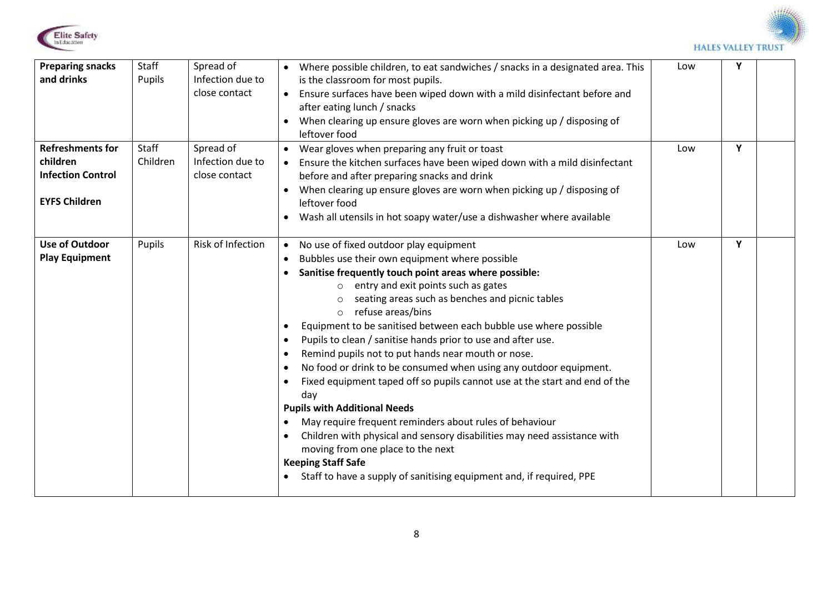



| <b>Preparing snacks</b><br>and drinks                                                   | Staff<br>Pupils   | Spread of<br>Infection due to<br>close contact | Where possible children, to eat sandwiches / snacks in a designated area. This<br>is the classroom for most pupils.<br>Ensure surfaces have been wiped down with a mild disinfectant before and<br>after eating lunch / snacks<br>When clearing up ensure gloves are worn when picking up / disposing of<br>leftover food                                                                                                                                                                                                                                                                                                                                                                                                                                                                                                                                                                                                                                                                                                                                                      | Low | Υ |  |
|-----------------------------------------------------------------------------------------|-------------------|------------------------------------------------|--------------------------------------------------------------------------------------------------------------------------------------------------------------------------------------------------------------------------------------------------------------------------------------------------------------------------------------------------------------------------------------------------------------------------------------------------------------------------------------------------------------------------------------------------------------------------------------------------------------------------------------------------------------------------------------------------------------------------------------------------------------------------------------------------------------------------------------------------------------------------------------------------------------------------------------------------------------------------------------------------------------------------------------------------------------------------------|-----|---|--|
| <b>Refreshments for</b><br>children<br><b>Infection Control</b><br><b>EYFS Children</b> | Staff<br>Children | Spread of<br>Infection due to<br>close contact | Wear gloves when preparing any fruit or toast<br>$\bullet$<br>Ensure the kitchen surfaces have been wiped down with a mild disinfectant<br>before and after preparing snacks and drink<br>When clearing up ensure gloves are worn when picking up / disposing of<br>leftover food<br>Wash all utensils in hot soapy water/use a dishwasher where available<br>$\bullet$                                                                                                                                                                                                                                                                                                                                                                                                                                                                                                                                                                                                                                                                                                        | Low | Y |  |
| <b>Use of Outdoor</b><br><b>Play Equipment</b>                                          | Pupils            | Risk of Infection                              | No use of fixed outdoor play equipment<br>$\bullet$<br>Bubbles use their own equipment where possible<br>$\bullet$<br>Sanitise frequently touch point areas where possible:<br>o entry and exit points such as gates<br>seating areas such as benches and picnic tables<br>refuse areas/bins<br>$\circ$<br>Equipment to be sanitised between each bubble use where possible<br>$\bullet$<br>Pupils to clean / sanitise hands prior to use and after use.<br>$\bullet$<br>Remind pupils not to put hands near mouth or nose.<br>$\bullet$<br>No food or drink to be consumed when using any outdoor equipment.<br>$\bullet$<br>Fixed equipment taped off so pupils cannot use at the start and end of the<br>$\bullet$<br>day<br><b>Pupils with Additional Needs</b><br>May require frequent reminders about rules of behaviour<br>$\bullet$<br>Children with physical and sensory disabilities may need assistance with<br>$\bullet$<br>moving from one place to the next<br><b>Keeping Staff Safe</b><br>Staff to have a supply of sanitising equipment and, if required, PPE | Low | Y |  |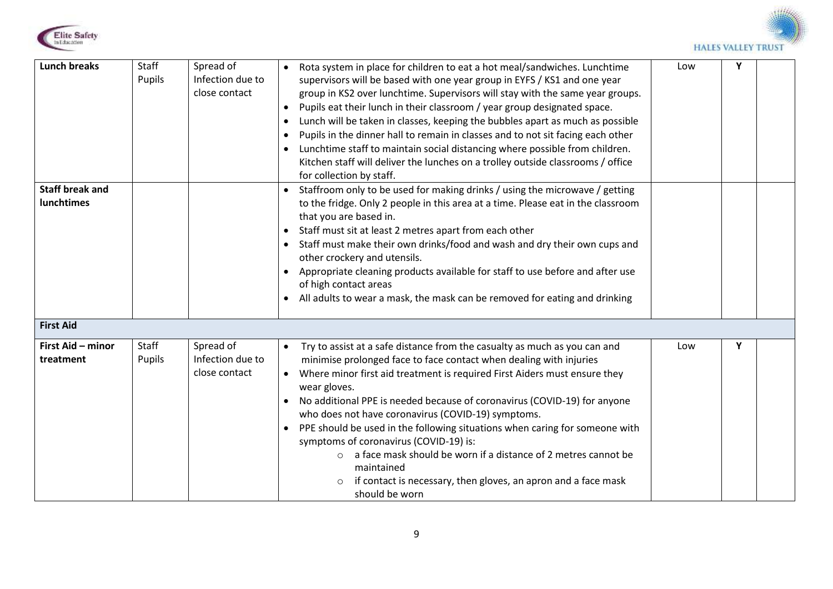



| <b>Lunch breaks</b>    | Staff  | Spread of        | Rota system in place for children to eat a hot meal/sandwiches. Lunchtime<br>$\bullet$                                                                                      | Low | Y |  |
|------------------------|--------|------------------|-----------------------------------------------------------------------------------------------------------------------------------------------------------------------------|-----|---|--|
|                        | Pupils | Infection due to | supervisors will be based with one year group in EYFS / KS1 and one year                                                                                                    |     |   |  |
|                        |        | close contact    | group in KS2 over lunchtime. Supervisors will stay with the same year groups.                                                                                               |     |   |  |
|                        |        |                  | Pupils eat their lunch in their classroom / year group designated space.<br>$\bullet$                                                                                       |     |   |  |
|                        |        |                  | Lunch will be taken in classes, keeping the bubbles apart as much as possible<br>$\bullet$                                                                                  |     |   |  |
|                        |        |                  | Pupils in the dinner hall to remain in classes and to not sit facing each other<br>$\bullet$                                                                                |     |   |  |
|                        |        |                  | Lunchtime staff to maintain social distancing where possible from children.<br>$\bullet$<br>Kitchen staff will deliver the lunches on a trolley outside classrooms / office |     |   |  |
|                        |        |                  | for collection by staff.                                                                                                                                                    |     |   |  |
| <b>Staff break and</b> |        |                  | Staffroom only to be used for making drinks / using the microwave / getting                                                                                                 |     |   |  |
| <b>lunchtimes</b>      |        |                  | to the fridge. Only 2 people in this area at a time. Please eat in the classroom                                                                                            |     |   |  |
|                        |        |                  | that you are based in.                                                                                                                                                      |     |   |  |
|                        |        |                  | Staff must sit at least 2 metres apart from each other<br>$\bullet$                                                                                                         |     |   |  |
|                        |        |                  | Staff must make their own drinks/food and wash and dry their own cups and<br>$\bullet$                                                                                      |     |   |  |
|                        |        |                  | other crockery and utensils.                                                                                                                                                |     |   |  |
|                        |        |                  | Appropriate cleaning products available for staff to use before and after use                                                                                               |     |   |  |
|                        |        |                  | of high contact areas                                                                                                                                                       |     |   |  |
|                        |        |                  | All adults to wear a mask, the mask can be removed for eating and drinking<br>$\bullet$                                                                                     |     |   |  |
| <b>First Aid</b>       |        |                  |                                                                                                                                                                             |     |   |  |
| First Aid - minor      | Staff  | Spread of        | Try to assist at a safe distance from the casualty as much as you can and<br>$\bullet$                                                                                      | Low | Υ |  |
| treatment              | Pupils | Infection due to | minimise prolonged face to face contact when dealing with injuries                                                                                                          |     |   |  |
|                        |        | close contact    | Where minor first aid treatment is required First Aiders must ensure they<br>$\bullet$                                                                                      |     |   |  |
|                        |        |                  | wear gloves.                                                                                                                                                                |     |   |  |
|                        |        |                  | No additional PPE is needed because of coronavirus (COVID-19) for anyone                                                                                                    |     |   |  |
|                        |        |                  | who does not have coronavirus (COVID-19) symptoms.                                                                                                                          |     |   |  |
|                        |        |                  | PPE should be used in the following situations when caring for someone with<br>$\bullet$<br>symptoms of coronavirus (COVID-19) is:                                          |     |   |  |
|                        |        |                  | a face mask should be worn if a distance of 2 metres cannot be                                                                                                              |     |   |  |
|                        |        |                  | maintained                                                                                                                                                                  |     |   |  |
|                        |        |                  | if contact is necessary, then gloves, an apron and a face mask<br>$\circ$                                                                                                   |     |   |  |
|                        |        |                  | should be worn                                                                                                                                                              |     |   |  |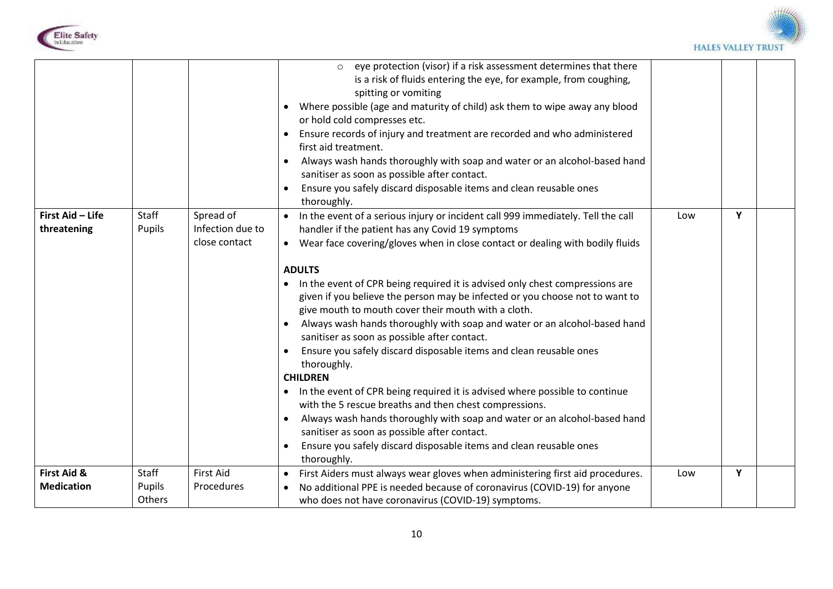



|                                  |                                  |                                                | o eye protection (visor) if a risk assessment determines that there<br>is a risk of fluids entering the eye, for example, from coughing,<br>spitting or vomiting<br>Where possible (age and maturity of child) ask them to wipe away any blood<br>$\bullet$<br>or hold cold compresses etc.<br>Ensure records of injury and treatment are recorded and who administered<br>first aid treatment.<br>Always wash hands thoroughly with soap and water or an alcohol-based hand<br>٠<br>sanitiser as soon as possible after contact.                                                                                                                                                                                                                                                                                                       |     |   |  |
|----------------------------------|----------------------------------|------------------------------------------------|-----------------------------------------------------------------------------------------------------------------------------------------------------------------------------------------------------------------------------------------------------------------------------------------------------------------------------------------------------------------------------------------------------------------------------------------------------------------------------------------------------------------------------------------------------------------------------------------------------------------------------------------------------------------------------------------------------------------------------------------------------------------------------------------------------------------------------------------|-----|---|--|
|                                  |                                  |                                                | Ensure you safely discard disposable items and clean reusable ones                                                                                                                                                                                                                                                                                                                                                                                                                                                                                                                                                                                                                                                                                                                                                                      |     |   |  |
| First Aid - Life<br>threatening  | Staff<br>Pupils                  | Spread of<br>Infection due to<br>close contact | thoroughly.<br>In the event of a serious injury or incident call 999 immediately. Tell the call<br>$\bullet$<br>handler if the patient has any Covid 19 symptoms<br>Wear face covering/gloves when in close contact or dealing with bodily fluids<br>$\bullet$                                                                                                                                                                                                                                                                                                                                                                                                                                                                                                                                                                          | Low | Υ |  |
|                                  |                                  |                                                | <b>ADULTS</b><br>In the event of CPR being required it is advised only chest compressions are<br>$\bullet$<br>given if you believe the person may be infected or you choose not to want to<br>give mouth to mouth cover their mouth with a cloth.<br>Always wash hands thoroughly with soap and water or an alcohol-based hand<br>sanitiser as soon as possible after contact.<br>Ensure you safely discard disposable items and clean reusable ones<br>thoroughly.<br><b>CHILDREN</b><br>In the event of CPR being required it is advised where possible to continue<br>with the 5 rescue breaths and then chest compressions.<br>Always wash hands thoroughly with soap and water or an alcohol-based hand<br>٠<br>sanitiser as soon as possible after contact.<br>Ensure you safely discard disposable items and clean reusable ones |     |   |  |
|                                  |                                  |                                                | thoroughly.                                                                                                                                                                                                                                                                                                                                                                                                                                                                                                                                                                                                                                                                                                                                                                                                                             |     |   |  |
| First Aid &<br><b>Medication</b> | Staff<br>Pupils<br><b>Others</b> | <b>First Aid</b><br>Procedures                 | First Aiders must always wear gloves when administering first aid procedures.<br>$\bullet$<br>No additional PPE is needed because of coronavirus (COVID-19) for anyone<br>$\bullet$<br>who does not have coronavirus (COVID-19) symptoms.                                                                                                                                                                                                                                                                                                                                                                                                                                                                                                                                                                                               | Low | Y |  |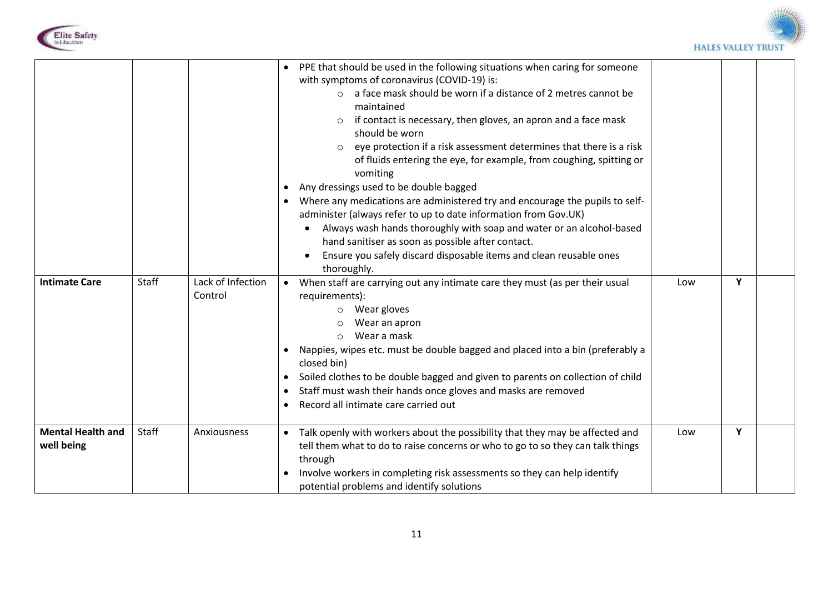



| <b>Intimate Care</b>                   | Staff | Lack of Infection<br>Control | PPE that should be used in the following situations when caring for someone<br>with symptoms of coronavirus (COVID-19) is:<br>a face mask should be worn if a distance of 2 metres cannot be<br>$\bigcirc$<br>maintained<br>if contact is necessary, then gloves, an apron and a face mask<br>should be worn<br>eye protection if a risk assessment determines that there is a risk<br>of fluids entering the eye, for example, from coughing, spitting or<br>vomiting<br>Any dressings used to be double bagged<br>$\bullet$<br>Where any medications are administered try and encourage the pupils to self-<br>administer (always refer to up to date information from Gov.UK)<br>Always wash hands thoroughly with soap and water or an alcohol-based<br>hand sanitiser as soon as possible after contact.<br>Ensure you safely discard disposable items and clean reusable ones<br>thoroughly.<br>When staff are carrying out any intimate care they must (as per their usual<br>$\bullet$<br>requirements):<br>Wear gloves<br>$\circ$<br>Wear an apron<br>Wear a mask<br>$\circ$<br>Nappies, wipes etc. must be double bagged and placed into a bin (preferably a<br>closed bin)<br>Soiled clothes to be double bagged and given to parents on collection of child<br>Staff must wash their hands once gloves and masks are removed | Low | Y |  |
|----------------------------------------|-------|------------------------------|------------------------------------------------------------------------------------------------------------------------------------------------------------------------------------------------------------------------------------------------------------------------------------------------------------------------------------------------------------------------------------------------------------------------------------------------------------------------------------------------------------------------------------------------------------------------------------------------------------------------------------------------------------------------------------------------------------------------------------------------------------------------------------------------------------------------------------------------------------------------------------------------------------------------------------------------------------------------------------------------------------------------------------------------------------------------------------------------------------------------------------------------------------------------------------------------------------------------------------------------------------------------------------------------------------------------------------------|-----|---|--|
| <b>Mental Health and</b><br>well being | Staff | Anxiousness                  | Record all intimate care carried out<br>Talk openly with workers about the possibility that they may be affected and<br>tell them what to do to raise concerns or who to go to so they can talk things<br>through<br>Involve workers in completing risk assessments so they can help identify                                                                                                                                                                                                                                                                                                                                                                                                                                                                                                                                                                                                                                                                                                                                                                                                                                                                                                                                                                                                                                            | Low | Y |  |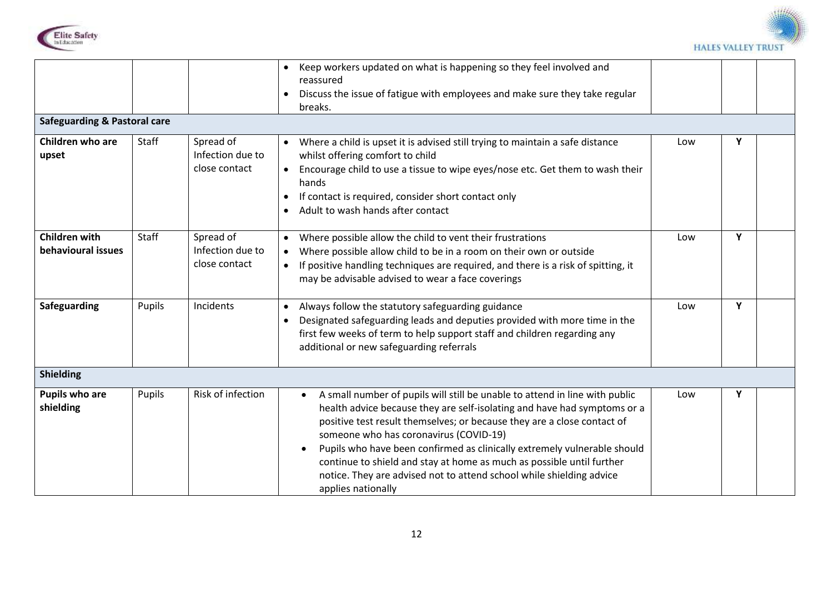



|                                            |        |                                                | Keep workers updated on what is happening so they feel involved and<br>$\bullet$<br>reassured<br>Discuss the issue of fatigue with employees and make sure they take regular<br>breaks.                                                                                                                                                                                                                                                                                                                                                                   |     |   |  |
|--------------------------------------------|--------|------------------------------------------------|-----------------------------------------------------------------------------------------------------------------------------------------------------------------------------------------------------------------------------------------------------------------------------------------------------------------------------------------------------------------------------------------------------------------------------------------------------------------------------------------------------------------------------------------------------------|-----|---|--|
| <b>Safeguarding &amp; Pastoral care</b>    |        |                                                |                                                                                                                                                                                                                                                                                                                                                                                                                                                                                                                                                           |     |   |  |
| Children who are<br>upset                  | Staff  | Spread of<br>Infection due to<br>close contact | Where a child is upset it is advised still trying to maintain a safe distance<br>$\bullet$<br>whilst offering comfort to child<br>Encourage child to use a tissue to wipe eyes/nose etc. Get them to wash their<br>$\bullet$<br>hands<br>If contact is required, consider short contact only<br>$\bullet$<br>Adult to wash hands after contact<br>$\bullet$                                                                                                                                                                                               | Low | Υ |  |
| <b>Children with</b><br>behavioural issues | Staff  | Spread of<br>Infection due to<br>close contact | Where possible allow the child to vent their frustrations<br>$\bullet$<br>Where possible allow child to be in a room on their own or outside<br>$\bullet$<br>If positive handling techniques are required, and there is a risk of spitting, it<br>$\bullet$<br>may be advisable advised to wear a face coverings                                                                                                                                                                                                                                          | Low | Y |  |
| Safeguarding                               | Pupils | Incidents                                      | Always follow the statutory safeguarding guidance<br>$\bullet$<br>Designated safeguarding leads and deputies provided with more time in the<br>$\bullet$<br>first few weeks of term to help support staff and children regarding any<br>additional or new safeguarding referrals                                                                                                                                                                                                                                                                          | Low | Y |  |
| <b>Shielding</b>                           |        |                                                |                                                                                                                                                                                                                                                                                                                                                                                                                                                                                                                                                           |     |   |  |
| Pupils who are<br>shielding                | Pupils | <b>Risk of infection</b>                       | A small number of pupils will still be unable to attend in line with public<br>$\bullet$<br>health advice because they are self-isolating and have had symptoms or a<br>positive test result themselves; or because they are a close contact of<br>someone who has coronavirus (COVID-19)<br>Pupils who have been confirmed as clinically extremely vulnerable should<br>$\bullet$<br>continue to shield and stay at home as much as possible until further<br>notice. They are advised not to attend school while shielding advice<br>applies nationally | Low | Y |  |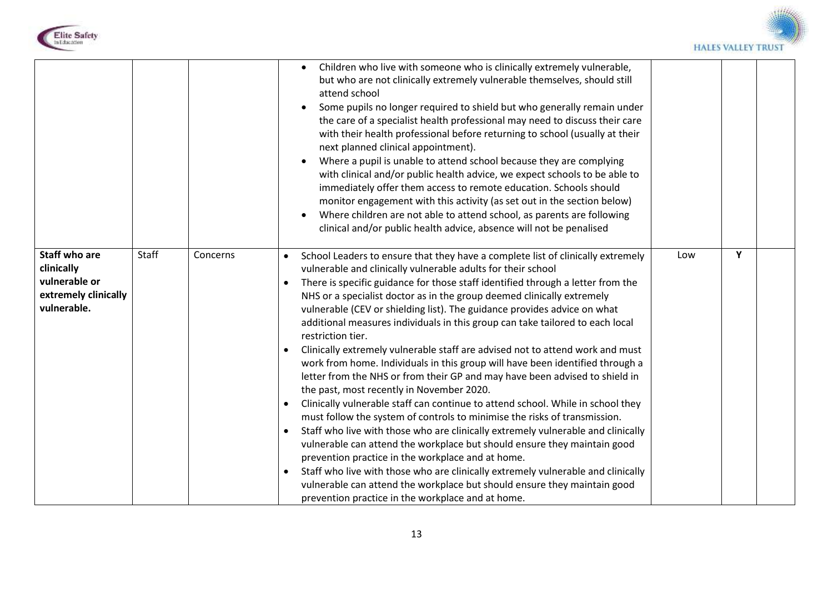



|                                                                                            |       |          | Children who live with someone who is clinically extremely vulnerable,<br>$\bullet$<br>but who are not clinically extremely vulnerable themselves, should still<br>attend school<br>Some pupils no longer required to shield but who generally remain under<br>the care of a specialist health professional may need to discuss their care<br>with their health professional before returning to school (usually at their<br>next planned clinical appointment).<br>Where a pupil is unable to attend school because they are complying<br>with clinical and/or public health advice, we expect schools to be able to<br>immediately offer them access to remote education. Schools should<br>monitor engagement with this activity (as set out in the section below)<br>Where children are not able to attend school, as parents are following<br>clinical and/or public health advice, absence will not be penalised                                                                                                                                                                                                                                                                                                                                                                                                                                                                                                                                     |     |   |  |
|--------------------------------------------------------------------------------------------|-------|----------|------------------------------------------------------------------------------------------------------------------------------------------------------------------------------------------------------------------------------------------------------------------------------------------------------------------------------------------------------------------------------------------------------------------------------------------------------------------------------------------------------------------------------------------------------------------------------------------------------------------------------------------------------------------------------------------------------------------------------------------------------------------------------------------------------------------------------------------------------------------------------------------------------------------------------------------------------------------------------------------------------------------------------------------------------------------------------------------------------------------------------------------------------------------------------------------------------------------------------------------------------------------------------------------------------------------------------------------------------------------------------------------------------------------------------------------------------------|-----|---|--|
| <b>Staff who are</b><br>clinically<br>vulnerable or<br>extremely clinically<br>vulnerable. | Staff | Concerns | School Leaders to ensure that they have a complete list of clinically extremely<br>$\bullet$<br>vulnerable and clinically vulnerable adults for their school<br>There is specific guidance for those staff identified through a letter from the<br>$\bullet$<br>NHS or a specialist doctor as in the group deemed clinically extremely<br>vulnerable (CEV or shielding list). The guidance provides advice on what<br>additional measures individuals in this group can take tailored to each local<br>restriction tier.<br>Clinically extremely vulnerable staff are advised not to attend work and must<br>work from home. Individuals in this group will have been identified through a<br>letter from the NHS or from their GP and may have been advised to shield in<br>the past, most recently in November 2020.<br>Clinically vulnerable staff can continue to attend school. While in school they<br>must follow the system of controls to minimise the risks of transmission.<br>Staff who live with those who are clinically extremely vulnerable and clinically<br>$\bullet$<br>vulnerable can attend the workplace but should ensure they maintain good<br>prevention practice in the workplace and at home.<br>Staff who live with those who are clinically extremely vulnerable and clinically<br>$\bullet$<br>vulnerable can attend the workplace but should ensure they maintain good<br>prevention practice in the workplace and at home. | Low | Y |  |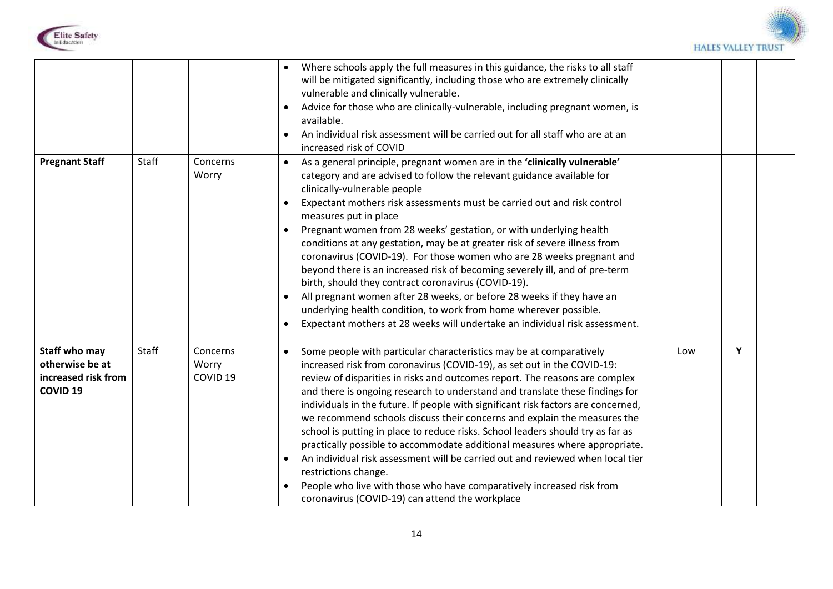



| <b>Pregnant Staff</b>                                                      | Staff | Concerns<br>Worry                        | Where schools apply the full measures in this guidance, the risks to all staff<br>$\bullet$<br>will be mitigated significantly, including those who are extremely clinically<br>vulnerable and clinically vulnerable.<br>Advice for those who are clinically-vulnerable, including pregnant women, is<br>$\bullet$<br>available.<br>An individual risk assessment will be carried out for all staff who are at an<br>increased risk of COVID<br>As a general principle, pregnant women are in the 'clinically vulnerable'<br>$\bullet$<br>category and are advised to follow the relevant guidance available for<br>clinically-vulnerable people<br>Expectant mothers risk assessments must be carried out and risk control<br>٠<br>measures put in place<br>Pregnant women from 28 weeks' gestation, or with underlying health<br>conditions at any gestation, may be at greater risk of severe illness from<br>coronavirus (COVID-19). For those women who are 28 weeks pregnant and<br>beyond there is an increased risk of becoming severely ill, and of pre-term<br>birth, should they contract coronavirus (COVID-19).<br>All pregnant women after 28 weeks, or before 28 weeks if they have an<br>underlying health condition, to work from home wherever possible.<br>Expectant mothers at 28 weeks will undertake an individual risk assessment.<br>$\bullet$ |     |   |  |
|----------------------------------------------------------------------------|-------|------------------------------------------|------------------------------------------------------------------------------------------------------------------------------------------------------------------------------------------------------------------------------------------------------------------------------------------------------------------------------------------------------------------------------------------------------------------------------------------------------------------------------------------------------------------------------------------------------------------------------------------------------------------------------------------------------------------------------------------------------------------------------------------------------------------------------------------------------------------------------------------------------------------------------------------------------------------------------------------------------------------------------------------------------------------------------------------------------------------------------------------------------------------------------------------------------------------------------------------------------------------------------------------------------------------------------------------------------------------------------------------------------------------------|-----|---|--|
| Staff who may<br>otherwise be at<br>increased risk from<br><b>COVID 19</b> | Staff | Concerns<br>Worry<br>COVID <sub>19</sub> | Some people with particular characteristics may be at comparatively<br>$\bullet$<br>increased risk from coronavirus (COVID-19), as set out in the COVID-19:<br>review of disparities in risks and outcomes report. The reasons are complex<br>and there is ongoing research to understand and translate these findings for<br>individuals in the future. If people with significant risk factors are concerned,<br>we recommend schools discuss their concerns and explain the measures the<br>school is putting in place to reduce risks. School leaders should try as far as<br>practically possible to accommodate additional measures where appropriate.<br>An individual risk assessment will be carried out and reviewed when local tier<br>$\bullet$<br>restrictions change.<br>People who live with those who have comparatively increased risk from<br>$\bullet$<br>coronavirus (COVID-19) can attend the workplace                                                                                                                                                                                                                                                                                                                                                                                                                                           | Low | Y |  |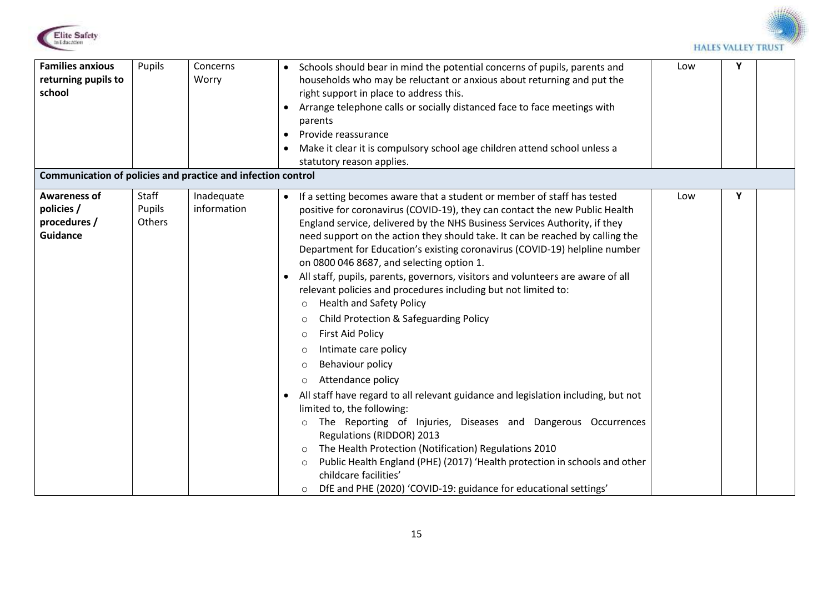



| <b>Families anxious</b><br>returning pupils to<br>school<br>Communication of policies and practice and infection control | Pupils                           | Concerns<br>Worry         | Schools should bear in mind the potential concerns of pupils, parents and<br>households who may be reluctant or anxious about returning and put the<br>right support in place to address this.<br>Arrange telephone calls or socially distanced face to face meetings with<br>parents<br>Provide reassurance<br>$\bullet$<br>Make it clear it is compulsory school age children attend school unless a<br>statutory reason applies.                                                                                                                                                                                                                                                                                                                                                                                                                                                                                                                                                                                                                                                                                                                                                                                                                                                                                                                                                      | Low | Υ |  |
|--------------------------------------------------------------------------------------------------------------------------|----------------------------------|---------------------------|------------------------------------------------------------------------------------------------------------------------------------------------------------------------------------------------------------------------------------------------------------------------------------------------------------------------------------------------------------------------------------------------------------------------------------------------------------------------------------------------------------------------------------------------------------------------------------------------------------------------------------------------------------------------------------------------------------------------------------------------------------------------------------------------------------------------------------------------------------------------------------------------------------------------------------------------------------------------------------------------------------------------------------------------------------------------------------------------------------------------------------------------------------------------------------------------------------------------------------------------------------------------------------------------------------------------------------------------------------------------------------------|-----|---|--|
| <b>Awareness of</b><br>policies /<br>procedures /<br><b>Guidance</b>                                                     | Staff<br>Pupils<br><b>Others</b> | Inadequate<br>information | • If a setting becomes aware that a student or member of staff has tested<br>positive for coronavirus (COVID-19), they can contact the new Public Health<br>England service, delivered by the NHS Business Services Authority, if they<br>need support on the action they should take. It can be reached by calling the<br>Department for Education's existing coronavirus (COVID-19) helpline number<br>on 0800 046 8687, and selecting option 1.<br>All staff, pupils, parents, governors, visitors and volunteers are aware of all<br>$\bullet$<br>relevant policies and procedures including but not limited to:<br><b>Health and Safety Policy</b><br>$\circ$<br><b>Child Protection &amp; Safeguarding Policy</b><br>$\circ$<br><b>First Aid Policy</b><br>$\circ$<br>Intimate care policy<br>$\circ$<br>Behaviour policy<br>$\circ$<br>Attendance policy<br>$\circ$<br>All staff have regard to all relevant guidance and legislation including, but not<br>$\bullet$<br>limited to, the following:<br>The Reporting of Injuries, Diseases and Dangerous Occurrences<br>$\circ$<br>Regulations (RIDDOR) 2013<br>The Health Protection (Notification) Regulations 2010<br>$\circ$<br>Public Health England (PHE) (2017) 'Health protection in schools and other<br>$\circ$<br>childcare facilities'<br>DfE and PHE (2020) 'COVID-19: guidance for educational settings'<br>$\circ$ | Low | Υ |  |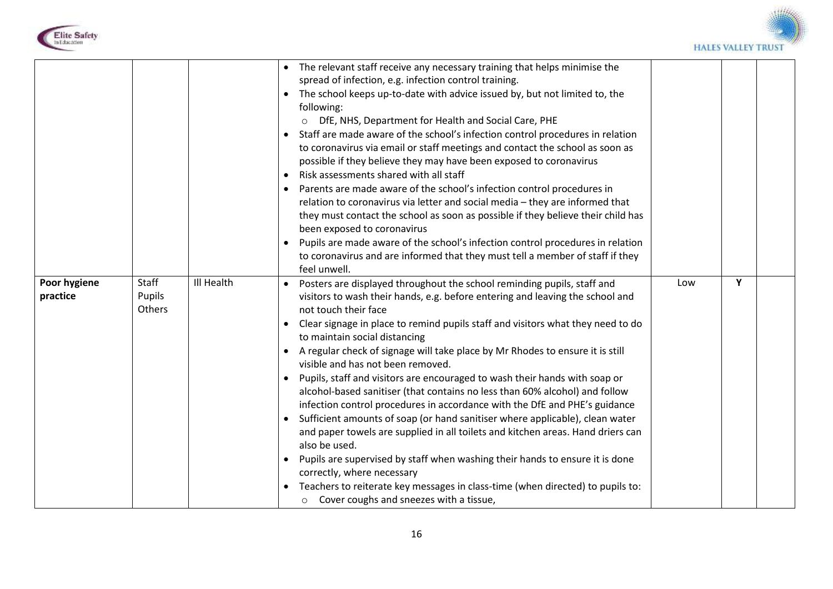



|                          |                           |            | The relevant staff receive any necessary training that helps minimise the<br>spread of infection, e.g. infection control training.<br>The school keeps up-to-date with advice issued by, but not limited to, the<br>following:<br>O DfE, NHS, Department for Health and Social Care, PHE<br>Staff are made aware of the school's infection control procedures in relation<br>to coronavirus via email or staff meetings and contact the school as soon as<br>possible if they believe they may have been exposed to coronavirus<br>Risk assessments shared with all staff<br>$\bullet$<br>Parents are made aware of the school's infection control procedures in<br>relation to coronavirus via letter and social media - they are informed that<br>they must contact the school as soon as possible if they believe their child has<br>been exposed to coronavirus<br>Pupils are made aware of the school's infection control procedures in relation<br>$\bullet$<br>to coronavirus and are informed that they must tell a member of staff if they<br>feel unwell.                                                                                 |     |   |  |
|--------------------------|---------------------------|------------|-----------------------------------------------------------------------------------------------------------------------------------------------------------------------------------------------------------------------------------------------------------------------------------------------------------------------------------------------------------------------------------------------------------------------------------------------------------------------------------------------------------------------------------------------------------------------------------------------------------------------------------------------------------------------------------------------------------------------------------------------------------------------------------------------------------------------------------------------------------------------------------------------------------------------------------------------------------------------------------------------------------------------------------------------------------------------------------------------------------------------------------------------------|-----|---|--|
| Poor hygiene<br>practice | Staff<br>Pupils<br>Others | Ill Health | Posters are displayed throughout the school reminding pupils, staff and<br>$\bullet$<br>visitors to wash their hands, e.g. before entering and leaving the school and<br>not touch their face<br>Clear signage in place to remind pupils staff and visitors what they need to do<br>$\bullet$<br>to maintain social distancing<br>A regular check of signage will take place by Mr Rhodes to ensure it is still<br>visible and has not been removed.<br>Pupils, staff and visitors are encouraged to wash their hands with soap or<br>$\bullet$<br>alcohol-based sanitiser (that contains no less than 60% alcohol) and follow<br>infection control procedures in accordance with the DfE and PHE's guidance<br>Sufficient amounts of soap (or hand sanitiser where applicable), clean water<br>and paper towels are supplied in all toilets and kitchen areas. Hand driers can<br>also be used.<br>Pupils are supervised by staff when washing their hands to ensure it is done<br>correctly, where necessary<br>Teachers to reiterate key messages in class-time (when directed) to pupils to:<br>$\circ$ Cover coughs and sneezes with a tissue, | Low | Y |  |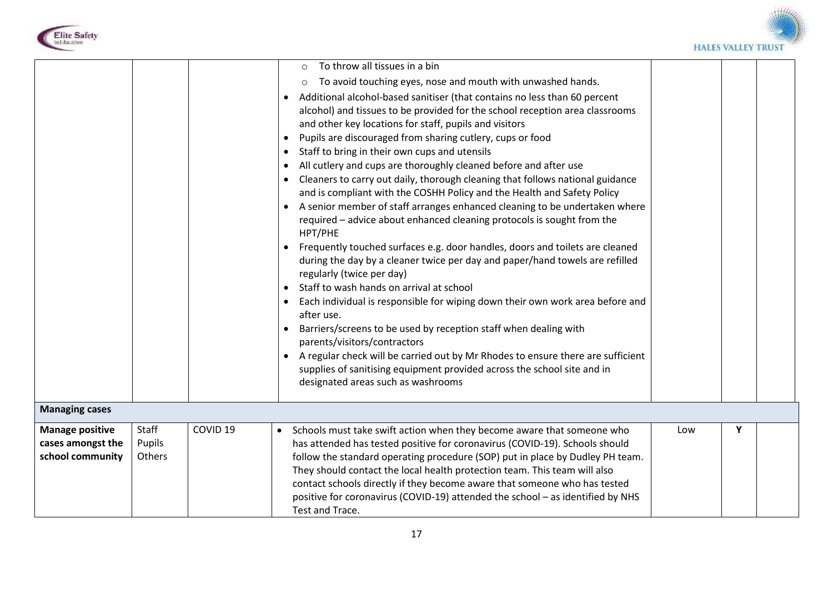



|                                                 |        |                     | To throw all tissues in a bin<br>$\circ$<br>To avoid touching eyes, nose and mouth with unwashed hands.<br>$\circ$<br>Additional alcohol-based sanitiser (that contains no less than 60 percent<br>$\bullet$<br>alcohol) and tissues to be provided for the school reception area classrooms<br>and other key locations for staff, pupils and visitors<br>Pupils are discouraged from sharing cutlery, cups or food<br>Staff to bring in their own cups and utensils<br>$\bullet$<br>All cutlery and cups are thoroughly cleaned before and after use<br>Cleaners to carry out daily, thorough cleaning that follows national guidance<br>and is compliant with the COSHH Policy and the Health and Safety Policy<br>A senior member of staff arranges enhanced cleaning to be undertaken where<br>$\bullet$<br>required - advice about enhanced cleaning protocols is sought from the<br>HPT/PHE<br>Frequently touched surfaces e.g. door handles, doors and toilets are cleaned<br>$\bullet$<br>during the day by a cleaner twice per day and paper/hand towels are refilled<br>regularly (twice per day)<br>Staff to wash hands on arrival at school<br>Each individual is responsible for wiping down their own work area before and<br>after use.<br>Barriers/screens to be used by reception staff when dealing with<br>parents/visitors/contractors<br>A regular check will be carried out by Mr Rhodes to ensure there are sufficient<br>supplies of sanitising equipment provided across the school site and in<br>designated areas such as washrooms |     |   |  |
|-------------------------------------------------|--------|---------------------|----------------------------------------------------------------------------------------------------------------------------------------------------------------------------------------------------------------------------------------------------------------------------------------------------------------------------------------------------------------------------------------------------------------------------------------------------------------------------------------------------------------------------------------------------------------------------------------------------------------------------------------------------------------------------------------------------------------------------------------------------------------------------------------------------------------------------------------------------------------------------------------------------------------------------------------------------------------------------------------------------------------------------------------------------------------------------------------------------------------------------------------------------------------------------------------------------------------------------------------------------------------------------------------------------------------------------------------------------------------------------------------------------------------------------------------------------------------------------------------------------------------------------------------------------------------|-----|---|--|
| <b>Managing cases</b><br><b>Manage positive</b> | Staff  | COVID <sub>19</sub> |                                                                                                                                                                                                                                                                                                                                                                                                                                                                                                                                                                                                                                                                                                                                                                                                                                                                                                                                                                                                                                                                                                                                                                                                                                                                                                                                                                                                                                                                                                                                                                | Low | Y |  |
| cases amongst the                               | Pupils |                     | Schools must take swift action when they become aware that someone who<br>$\bullet$<br>has attended has tested positive for coronavirus (COVID-19). Schools should                                                                                                                                                                                                                                                                                                                                                                                                                                                                                                                                                                                                                                                                                                                                                                                                                                                                                                                                                                                                                                                                                                                                                                                                                                                                                                                                                                                             |     |   |  |

| <b>INIGHASE POSITIVE</b> | <b>Jtail</b> | CU VID 19 | SCHOOPS ITIUST TAKE SWITT ACTION WHEN THEY DECOTTLE AWARE THAT SOMEONE WHO     | LUW |  |  |
|--------------------------|--------------|-----------|--------------------------------------------------------------------------------|-----|--|--|
| cases amongst the        | Pupils       |           | has attended has tested positive for coronavirus (COVID-19). Schools should    |     |  |  |
| school community         | Others       |           | follow the standard operating procedure (SOP) put in place by Dudley PH team.  |     |  |  |
|                          |              |           | They should contact the local health protection team. This team will also      |     |  |  |
|                          |              |           | contact schools directly if they become aware that someone who has tested      |     |  |  |
|                          |              |           | positive for coronavirus (COVID-19) attended the school – as identified by NHS |     |  |  |
|                          |              |           | Test and Trace.                                                                |     |  |  |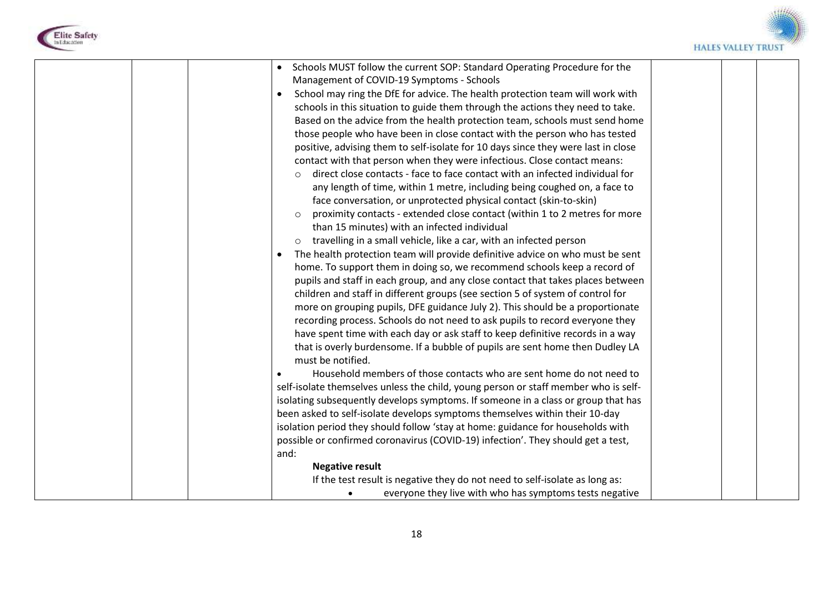



| Schools MUST follow the current SOP: Standard Operating Procedure for the<br>Management of COVID-19 Symptoms - Schools<br>School may ring the DfE for advice. The health protection team will work with<br>$\bullet$<br>schools in this situation to guide them through the actions they need to take.<br>Based on the advice from the health protection team, schools must send home                                                                                                                                                                                                                                                                                                                                                                                                                                                 |  |
|---------------------------------------------------------------------------------------------------------------------------------------------------------------------------------------------------------------------------------------------------------------------------------------------------------------------------------------------------------------------------------------------------------------------------------------------------------------------------------------------------------------------------------------------------------------------------------------------------------------------------------------------------------------------------------------------------------------------------------------------------------------------------------------------------------------------------------------|--|
| those people who have been in close contact with the person who has tested<br>positive, advising them to self-isolate for 10 days since they were last in close<br>contact with that person when they were infectious. Close contact means:<br>direct close contacts - face to face contact with an infected individual for<br>any length of time, within 1 metre, including being coughed on, a face to<br>face conversation, or unprotected physical contact (skin-to-skin)<br>proximity contacts - extended close contact (within 1 to 2 metres for more                                                                                                                                                                                                                                                                           |  |
| than 15 minutes) with an infected individual<br>travelling in a small vehicle, like a car, with an infected person<br>$\circ$<br>The health protection team will provide definitive advice on who must be sent<br>$\bullet$<br>home. To support them in doing so, we recommend schools keep a record of<br>pupils and staff in each group, and any close contact that takes places between<br>children and staff in different groups (see section 5 of system of control for<br>more on grouping pupils, DFE guidance July 2). This should be a proportionate<br>recording process. Schools do not need to ask pupils to record everyone they<br>have spent time with each day or ask staff to keep definitive records in a way<br>that is overly burdensome. If a bubble of pupils are sent home then Dudley LA<br>must be notified. |  |
| Household members of those contacts who are sent home do not need to<br>self-isolate themselves unless the child, young person or staff member who is self-<br>isolating subsequently develops symptoms. If someone in a class or group that has<br>been asked to self-isolate develops symptoms themselves within their 10-day<br>isolation period they should follow 'stay at home: guidance for households with<br>possible or confirmed coronavirus (COVID-19) infection'. They should get a test,<br>and:<br><b>Negative result</b><br>If the test result is negative they do not need to self-isolate as long as:                                                                                                                                                                                                               |  |
| everyone they live with who has symptoms tests negative                                                                                                                                                                                                                                                                                                                                                                                                                                                                                                                                                                                                                                                                                                                                                                               |  |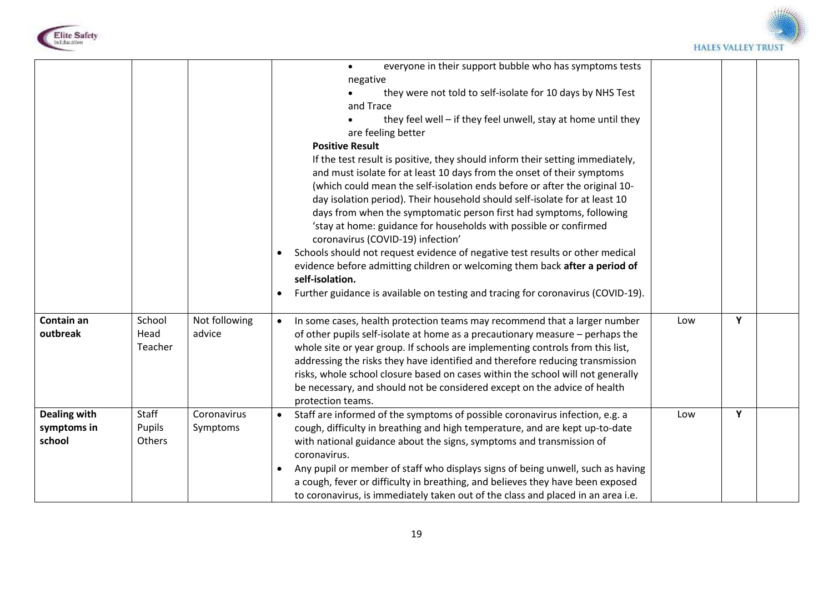



|                                              |                           |                         | everyone in their support bubble who has symptoms tests<br>negative<br>they were not told to self-isolate for 10 days by NHS Test<br>and Trace<br>they feel well - if they feel unwell, stay at home until they<br>are feeling better<br><b>Positive Result</b><br>If the test result is positive, they should inform their setting immediately,<br>and must isolate for at least 10 days from the onset of their symptoms<br>(which could mean the self-isolation ends before or after the original 10-<br>day isolation period). Their household should self-isolate for at least 10<br>days from when the symptomatic person first had symptoms, following<br>'stay at home: guidance for households with possible or confirmed<br>coronavirus (COVID-19) infection'<br>Schools should not request evidence of negative test results or other medical<br>$\bullet$<br>evidence before admitting children or welcoming them back after a period of<br>self-isolation.<br>Further guidance is available on testing and tracing for coronavirus (COVID-19).<br>$\bullet$ |     |   |  |
|----------------------------------------------|---------------------------|-------------------------|--------------------------------------------------------------------------------------------------------------------------------------------------------------------------------------------------------------------------------------------------------------------------------------------------------------------------------------------------------------------------------------------------------------------------------------------------------------------------------------------------------------------------------------------------------------------------------------------------------------------------------------------------------------------------------------------------------------------------------------------------------------------------------------------------------------------------------------------------------------------------------------------------------------------------------------------------------------------------------------------------------------------------------------------------------------------------|-----|---|--|
| Contain an<br>outbreak                       | School<br>Head<br>Teacher | Not following<br>advice | In some cases, health protection teams may recommend that a larger number<br>of other pupils self-isolate at home as a precautionary measure – perhaps the<br>whole site or year group. If schools are implementing controls from this list,<br>addressing the risks they have identified and therefore reducing transmission<br>risks, whole school closure based on cases within the school will not generally<br>be necessary, and should not be considered except on the advice of health<br>protection teams.                                                                                                                                                                                                                                                                                                                                                                                                                                                                                                                                                       | Low | Υ |  |
| <b>Dealing with</b><br>symptoms in<br>school | Staff<br>Pupils<br>Others | Coronavirus<br>Symptoms | Staff are informed of the symptoms of possible coronavirus infection, e.g. a<br>cough, difficulty in breathing and high temperature, and are kept up-to-date<br>with national guidance about the signs, symptoms and transmission of<br>coronavirus.<br>Any pupil or member of staff who displays signs of being unwell, such as having<br>a cough, fever or difficulty in breathing, and believes they have been exposed<br>to coronavirus, is immediately taken out of the class and placed in an area i.e.                                                                                                                                                                                                                                                                                                                                                                                                                                                                                                                                                            | Low | Y |  |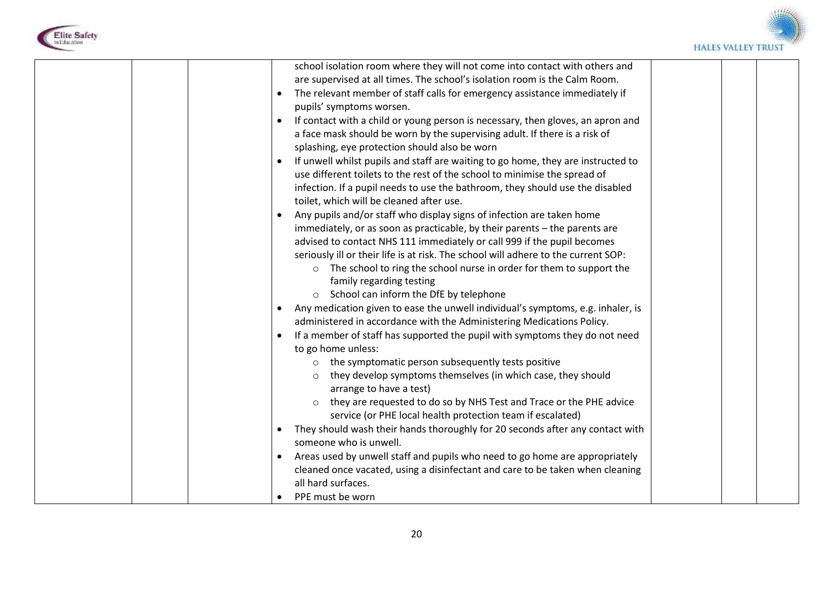



| $\bullet$ | school isolation room where they will not come into contact with others and<br>are supervised at all times. The school's isolation room is the Calm Room.<br>The relevant member of staff calls for emergency assistance immediately if<br>pupils' symptoms worsen.<br>If contact with a child or young person is necessary, then gloves, an apron and<br>a face mask should be worn by the supervising adult. If there is a risk of<br>splashing, eye protection should also be worn<br>If unwell whilst pupils and staff are waiting to go home, they are instructed to<br>use different toilets to the rest of the school to minimise the spread of<br>infection. If a pupil needs to use the bathroom, they should use the disabled<br>toilet, which will be cleaned after use.<br>Any pupils and/or staff who display signs of infection are taken home<br>immediately, or as soon as practicable, by their parents - the parents are<br>advised to contact NHS 111 immediately or call 999 if the pupil becomes<br>seriously ill or their life is at risk. The school will adhere to the current SOP:<br>o The school to ring the school nurse in order for them to support the<br>family regarding testing<br>School can inform the DfE by telephone<br>$\circ$<br>Any medication given to ease the unwell individual's symptoms, e.g. inhaler, is<br>administered in accordance with the Administering Medications Policy.<br>If a member of staff has supported the pupil with symptoms they do not need<br>to go home unless:<br>o the symptomatic person subsequently tests positive<br>they develop symptoms themselves (in which case, they should<br>$\circ$<br>arrange to have a test)<br>they are requested to do so by NHS Test and Trace or the PHE advice<br>$\circ$<br>service (or PHE local health protection team if escalated)<br>They should wash their hands thoroughly for 20 seconds after any contact with<br>someone who is unwell.<br>Areas used by unwell staff and pupils who need to go home are appropriately |  |  |
|-----------|-------------------------------------------------------------------------------------------------------------------------------------------------------------------------------------------------------------------------------------------------------------------------------------------------------------------------------------------------------------------------------------------------------------------------------------------------------------------------------------------------------------------------------------------------------------------------------------------------------------------------------------------------------------------------------------------------------------------------------------------------------------------------------------------------------------------------------------------------------------------------------------------------------------------------------------------------------------------------------------------------------------------------------------------------------------------------------------------------------------------------------------------------------------------------------------------------------------------------------------------------------------------------------------------------------------------------------------------------------------------------------------------------------------------------------------------------------------------------------------------------------------------------------------------------------------------------------------------------------------------------------------------------------------------------------------------------------------------------------------------------------------------------------------------------------------------------------------------------------------------------------------------------------------------------------------------------------------------------------------------------------------------------------------------------|--|--|
|           |                                                                                                                                                                                                                                                                                                                                                                                                                                                                                                                                                                                                                                                                                                                                                                                                                                                                                                                                                                                                                                                                                                                                                                                                                                                                                                                                                                                                                                                                                                                                                                                                                                                                                                                                                                                                                                                                                                                                                                                                                                                 |  |  |
|           |                                                                                                                                                                                                                                                                                                                                                                                                                                                                                                                                                                                                                                                                                                                                                                                                                                                                                                                                                                                                                                                                                                                                                                                                                                                                                                                                                                                                                                                                                                                                                                                                                                                                                                                                                                                                                                                                                                                                                                                                                                                 |  |  |
|           | cleaned once vacated, using a disinfectant and care to be taken when cleaning                                                                                                                                                                                                                                                                                                                                                                                                                                                                                                                                                                                                                                                                                                                                                                                                                                                                                                                                                                                                                                                                                                                                                                                                                                                                                                                                                                                                                                                                                                                                                                                                                                                                                                                                                                                                                                                                                                                                                                   |  |  |
|           | all hard surfaces.                                                                                                                                                                                                                                                                                                                                                                                                                                                                                                                                                                                                                                                                                                                                                                                                                                                                                                                                                                                                                                                                                                                                                                                                                                                                                                                                                                                                                                                                                                                                                                                                                                                                                                                                                                                                                                                                                                                                                                                                                              |  |  |
|           | PPE must be worn                                                                                                                                                                                                                                                                                                                                                                                                                                                                                                                                                                                                                                                                                                                                                                                                                                                                                                                                                                                                                                                                                                                                                                                                                                                                                                                                                                                                                                                                                                                                                                                                                                                                                                                                                                                                                                                                                                                                                                                                                                |  |  |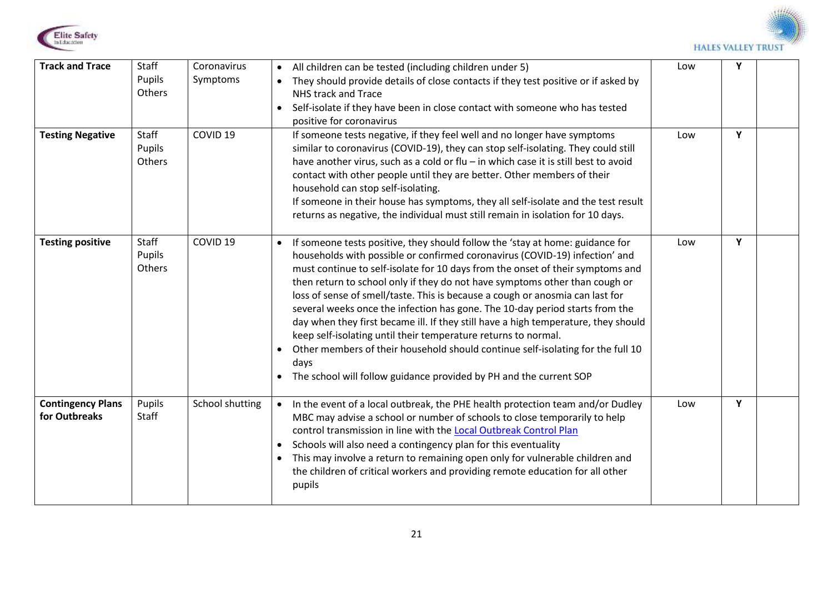



| <b>Track and Trace</b><br><b>Testing Negative</b> | Staff<br>Pupils<br>Others<br>Staff | Coronavirus<br>Symptoms<br>COVID <sub>19</sub> | • All children can be tested (including children under 5)<br>They should provide details of close contacts if they test positive or if asked by<br>NHS track and Trace<br>• Self-isolate if they have been in close contact with someone who has tested<br>positive for coronavirus<br>If someone tests negative, if they feel well and no longer have symptoms                                                                                                                                                                                                                                                                                                                                                                                                                                                           | Low<br>Low | Y<br>Y |  |
|---------------------------------------------------|------------------------------------|------------------------------------------------|---------------------------------------------------------------------------------------------------------------------------------------------------------------------------------------------------------------------------------------------------------------------------------------------------------------------------------------------------------------------------------------------------------------------------------------------------------------------------------------------------------------------------------------------------------------------------------------------------------------------------------------------------------------------------------------------------------------------------------------------------------------------------------------------------------------------------|------------|--------|--|
|                                                   | Pupils<br>Others                   |                                                | similar to coronavirus (COVID-19), they can stop self-isolating. They could still<br>have another virus, such as a cold or flu - in which case it is still best to avoid<br>contact with other people until they are better. Other members of their<br>household can stop self-isolating.<br>If someone in their house has symptoms, they all self-isolate and the test result<br>returns as negative, the individual must still remain in isolation for 10 days.                                                                                                                                                                                                                                                                                                                                                         |            |        |  |
| <b>Testing positive</b>                           | Staff<br>Pupils<br>Others          | COVID <sub>19</sub>                            | If someone tests positive, they should follow the 'stay at home: guidance for<br>households with possible or confirmed coronavirus (COVID-19) infection' and<br>must continue to self-isolate for 10 days from the onset of their symptoms and<br>then return to school only if they do not have symptoms other than cough or<br>loss of sense of smell/taste. This is because a cough or anosmia can last for<br>several weeks once the infection has gone. The 10-day period starts from the<br>day when they first became ill. If they still have a high temperature, they should<br>keep self-isolating until their temperature returns to normal.<br>Other members of their household should continue self-isolating for the full 10<br>days<br>• The school will follow guidance provided by PH and the current SOP | Low        | Y      |  |
| <b>Contingency Plans</b><br>for Outbreaks         | Pupils<br><b>Staff</b>             | School shutting                                | In the event of a local outbreak, the PHE health protection team and/or Dudley<br>$\bullet$<br>MBC may advise a school or number of schools to close temporarily to help<br>control transmission in line with the Local Outbreak Control Plan<br>Schools will also need a contingency plan for this eventuality<br>$\bullet$<br>This may involve a return to remaining open only for vulnerable children and<br>$\bullet$<br>the children of critical workers and providing remote education for all other<br>pupils                                                                                                                                                                                                                                                                                                      | Low        | Y      |  |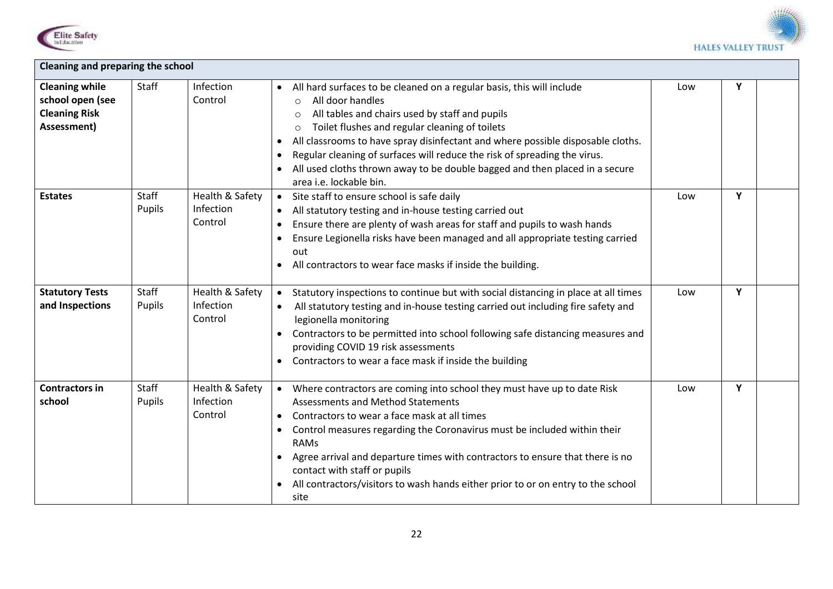



| <b>Cleaning and preparing the school</b>                                         |                        |                                                |                                                                                                                                                                                                                                                                                                                                                                                                                                                                                                                                                 |     |   |  |  |
|----------------------------------------------------------------------------------|------------------------|------------------------------------------------|-------------------------------------------------------------------------------------------------------------------------------------------------------------------------------------------------------------------------------------------------------------------------------------------------------------------------------------------------------------------------------------------------------------------------------------------------------------------------------------------------------------------------------------------------|-----|---|--|--|
| <b>Cleaning while</b><br>school open (see<br><b>Cleaning Risk</b><br>Assessment) | Staff                  | Infection<br>Control                           | All hard surfaces to be cleaned on a regular basis, this will include<br>$\bullet$<br>All door handles<br>$\circ$<br>All tables and chairs used by staff and pupils<br>$\circ$<br>Toilet flushes and regular cleaning of toilets<br>$\circ$<br>All classrooms to have spray disinfectant and where possible disposable cloths.<br>$\bullet$<br>Regular cleaning of surfaces will reduce the risk of spreading the virus.<br>$\bullet$<br>All used cloths thrown away to be double bagged and then placed in a secure<br>area i.e. lockable bin. | Low | Y |  |  |
| <b>Estates</b>                                                                   | <b>Staff</b><br>Pupils | Health & Safety<br>Infection<br>Control        | Site staff to ensure school is safe daily<br>All statutory testing and in-house testing carried out<br>$\bullet$<br>Ensure there are plenty of wash areas for staff and pupils to wash hands<br>$\bullet$<br>Ensure Legionella risks have been managed and all appropriate testing carried<br>out<br>All contractors to wear face masks if inside the building.<br>$\bullet$                                                                                                                                                                    | Low | Y |  |  |
| <b>Statutory Tests</b><br>and Inspections                                        | <b>Staff</b><br>Pupils | Health & Safety<br><b>Infection</b><br>Control | Statutory inspections to continue but with social distancing in place at all times<br>All statutory testing and in-house testing carried out including fire safety and<br>$\bullet$<br>legionella monitoring<br>Contractors to be permitted into school following safe distancing measures and<br>providing COVID 19 risk assessments<br>Contractors to wear a face mask if inside the building                                                                                                                                                 | Low | Y |  |  |
| <b>Contractors in</b><br>school                                                  | <b>Staff</b><br>Pupils | Health & Safety<br>Infection<br>Control        | Where contractors are coming into school they must have up to date Risk<br>$\bullet$<br><b>Assessments and Method Statements</b><br>Contractors to wear a face mask at all times<br>Control measures regarding the Coronavirus must be included within their<br>$\bullet$<br><b>RAMs</b><br>Agree arrival and departure times with contractors to ensure that there is no<br>contact with staff or pupils<br>All contractors/visitors to wash hands either prior to or on entry to the school<br>site                                           | Low | Y |  |  |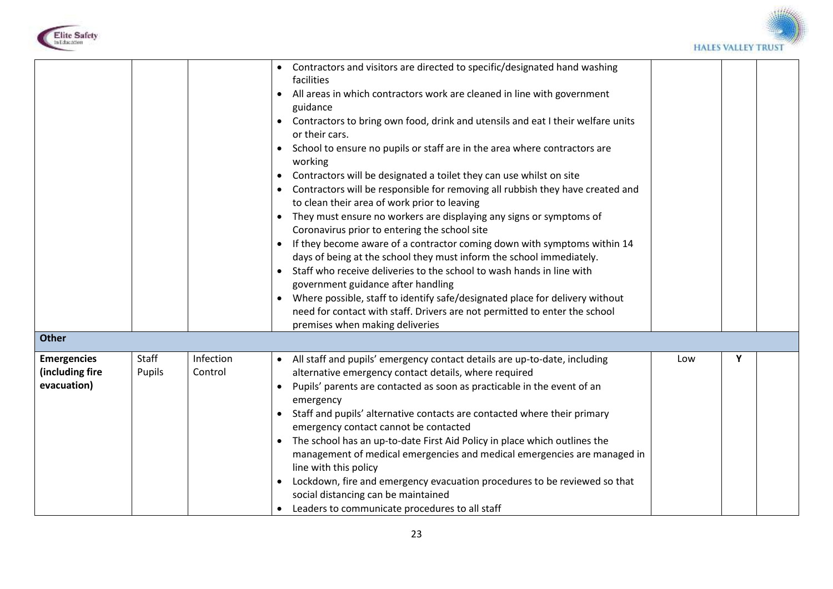



| <b>Other</b>                                         |                 |                      | Contractors and visitors are directed to specific/designated hand washing<br>$\bullet$<br>facilities<br>All areas in which contractors work are cleaned in line with government<br>$\bullet$<br>guidance<br>• Contractors to bring own food, drink and utensils and eat I their welfare units<br>or their cars.<br>School to ensure no pupils or staff are in the area where contractors are<br>working<br>Contractors will be designated a toilet they can use whilst on site<br>$\bullet$<br>Contractors will be responsible for removing all rubbish they have created and<br>to clean their area of work prior to leaving<br>They must ensure no workers are displaying any signs or symptoms of<br>Coronavirus prior to entering the school site<br>• If they become aware of a contractor coming down with symptoms within 14<br>days of being at the school they must inform the school immediately.<br>Staff who receive deliveries to the school to wash hands in line with<br>government guidance after handling<br>Where possible, staff to identify safe/designated place for delivery without<br>need for contact with staff. Drivers are not permitted to enter the school<br>premises when making deliveries |     |   |  |
|------------------------------------------------------|-----------------|----------------------|-----------------------------------------------------------------------------------------------------------------------------------------------------------------------------------------------------------------------------------------------------------------------------------------------------------------------------------------------------------------------------------------------------------------------------------------------------------------------------------------------------------------------------------------------------------------------------------------------------------------------------------------------------------------------------------------------------------------------------------------------------------------------------------------------------------------------------------------------------------------------------------------------------------------------------------------------------------------------------------------------------------------------------------------------------------------------------------------------------------------------------------------------------------------------------------------------------------------------------|-----|---|--|
| <b>Emergencies</b><br>(including fire<br>evacuation) | Staff<br>Pupils | Infection<br>Control | All staff and pupils' emergency contact details are up-to-date, including<br>alternative emergency contact details, where required<br>Pupils' parents are contacted as soon as practicable in the event of an<br>$\bullet$<br>emergency<br>Staff and pupils' alternative contacts are contacted where their primary<br>$\bullet$<br>emergency contact cannot be contacted<br>The school has an up-to-date First Aid Policy in place which outlines the<br>management of medical emergencies and medical emergencies are managed in<br>line with this policy<br>Lockdown, fire and emergency evacuation procedures to be reviewed so that<br>$\bullet$<br>social distancing can be maintained<br>Leaders to communicate procedures to all staff                                                                                                                                                                                                                                                                                                                                                                                                                                                                              | Low | Y |  |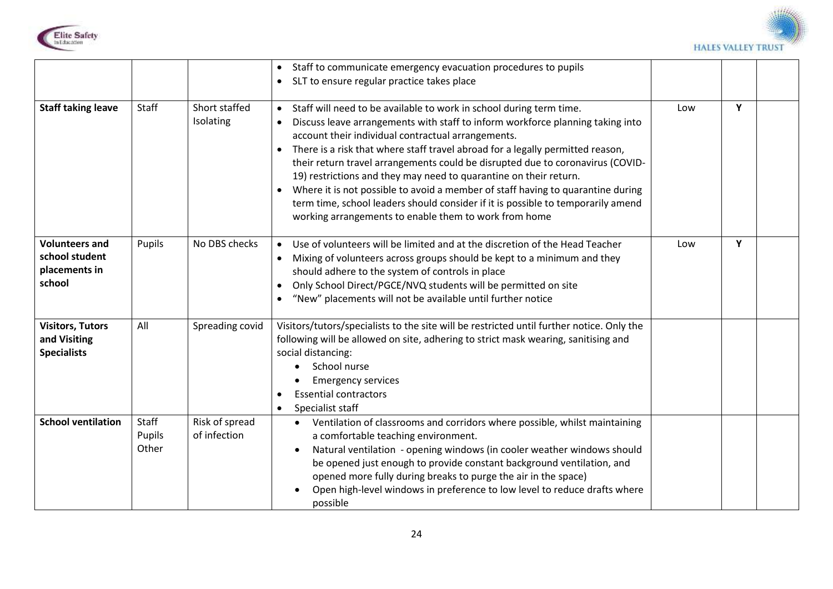



|                                                                    |                          |                                | Staff to communicate emergency evacuation procedures to pupils<br>SLT to ensure regular practice takes place<br>$\bullet$                                                                                                                                                                                                                                                                                                                                                                                                                                                                                                                                                                         |     |   |  |
|--------------------------------------------------------------------|--------------------------|--------------------------------|---------------------------------------------------------------------------------------------------------------------------------------------------------------------------------------------------------------------------------------------------------------------------------------------------------------------------------------------------------------------------------------------------------------------------------------------------------------------------------------------------------------------------------------------------------------------------------------------------------------------------------------------------------------------------------------------------|-----|---|--|
| <b>Staff taking leave</b>                                          | Staff                    | Short staffed<br>Isolating     | Staff will need to be available to work in school during term time.<br>Discuss leave arrangements with staff to inform workforce planning taking into<br>$\bullet$<br>account their individual contractual arrangements.<br>There is a risk that where staff travel abroad for a legally permitted reason,<br>their return travel arrangements could be disrupted due to coronavirus (COVID-<br>19) restrictions and they may need to quarantine on their return.<br>Where it is not possible to avoid a member of staff having to quarantine during<br>term time, school leaders should consider if it is possible to temporarily amend<br>working arrangements to enable them to work from home | Low | Y |  |
| <b>Volunteers and</b><br>school student<br>placements in<br>school | Pupils                   | No DBS checks                  | Use of volunteers will be limited and at the discretion of the Head Teacher<br>Mixing of volunteers across groups should be kept to a minimum and they<br>should adhere to the system of controls in place<br>Only School Direct/PGCE/NVQ students will be permitted on site<br>$\bullet$<br>"New" placements will not be available until further notice                                                                                                                                                                                                                                                                                                                                          | Low | Y |  |
| <b>Visitors, Tutors</b><br>and Visiting<br><b>Specialists</b>      | All                      | Spreading covid                | Visitors/tutors/specialists to the site will be restricted until further notice. Only the<br>following will be allowed on site, adhering to strict mask wearing, sanitising and<br>social distancing:<br>School nurse<br><b>Emergency services</b><br><b>Essential contractors</b><br>Specialist staff<br>$\bullet$                                                                                                                                                                                                                                                                                                                                                                               |     |   |  |
| <b>School ventilation</b>                                          | Staff<br>Pupils<br>Other | Risk of spread<br>of infection | Ventilation of classrooms and corridors where possible, whilst maintaining<br>$\bullet$<br>a comfortable teaching environment.<br>Natural ventilation - opening windows (in cooler weather windows should<br>be opened just enough to provide constant background ventilation, and<br>opened more fully during breaks to purge the air in the space)<br>Open high-level windows in preference to low level to reduce drafts where<br>possible                                                                                                                                                                                                                                                     |     |   |  |